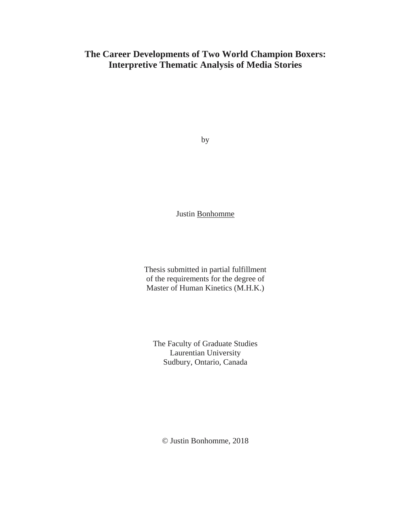# **The Career Developments of Two World Champion Boxers: Interpretive Thematic Analysis of Media Stories**

by

Justin Bonhomme

Thesis submitted in partial fulfillment of the requirements for the degree of Master of Human Kinetics (M.H.K.)

The Faculty of Graduate Studies Laurentian University Sudbury, Ontario, Canada

© Justin Bonhomme, 2018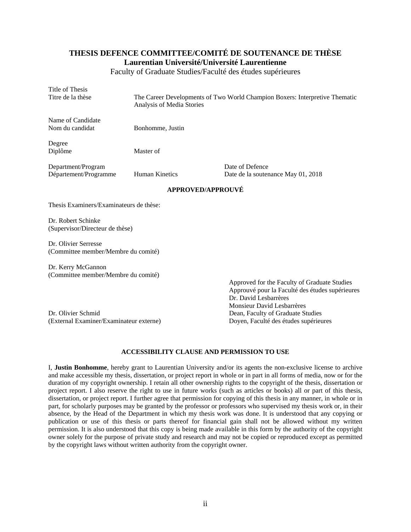## **THESIS DEFENCE COMMITTEE/COMITÉ DE SOUTENANCE DE THÈSE Laurentian Université/Université Laurentienne**

Faculty of Graduate Studies/Faculté des études supérieures

| Title of Thesis                                                                                                                                                                                                                                                                                                                    |                                                                             |                                    |  |  |  |
|------------------------------------------------------------------------------------------------------------------------------------------------------------------------------------------------------------------------------------------------------------------------------------------------------------------------------------|-----------------------------------------------------------------------------|------------------------------------|--|--|--|
| Titre de la thèse                                                                                                                                                                                                                                                                                                                  | The Career Developments of Two World Champion Boxers: Interpretive Thematic |                                    |  |  |  |
|                                                                                                                                                                                                                                                                                                                                    | Analysis of Media Stories                                                   |                                    |  |  |  |
| Name of Candidate                                                                                                                                                                                                                                                                                                                  |                                                                             |                                    |  |  |  |
| Nom du candidat                                                                                                                                                                                                                                                                                                                    | Bonhomme, Justin                                                            |                                    |  |  |  |
| Degree                                                                                                                                                                                                                                                                                                                             |                                                                             |                                    |  |  |  |
| Diplôme                                                                                                                                                                                                                                                                                                                            | Master of                                                                   |                                    |  |  |  |
| Department/Program                                                                                                                                                                                                                                                                                                                 |                                                                             | Date of Defence                    |  |  |  |
| Département/Programme                                                                                                                                                                                                                                                                                                              | <b>Human Kinetics</b>                                                       | Date de la soutenance May 01, 2018 |  |  |  |
| <b>APPROVED/APPROUVÉ</b>                                                                                                                                                                                                                                                                                                           |                                                                             |                                    |  |  |  |
| Thesis Examiners/Examinateurs de thèse:                                                                                                                                                                                                                                                                                            |                                                                             |                                    |  |  |  |
| $\mathbf{R}$ $\mathbf{R}$ $\mathbf{R}$ $\mathbf{R}$ $\mathbf{R}$ $\mathbf{R}$ $\mathbf{R}$ $\mathbf{R}$ $\mathbf{R}$ $\mathbf{R}$ $\mathbf{R}$ $\mathbf{R}$ $\mathbf{R}$ $\mathbf{R}$ $\mathbf{R}$ $\mathbf{R}$ $\mathbf{R}$ $\mathbf{R}$ $\mathbf{R}$ $\mathbf{R}$ $\mathbf{R}$ $\mathbf{R}$ $\mathbf{R}$ $\mathbf{R}$ $\mathbf{$ |                                                                             |                                    |  |  |  |

Dr. Robert Schinke (Supervisor/Directeur de thèse)

Dr. Olivier Serresse (Committee member/Membre du comité)

Dr. Kerry McGannon (Committee member/Membre du comité)

Dr. Olivier Schmid Dean, Faculty of Graduate Studies (External Examiner/Examinateur externe) Doyen, Faculté des études supérieures

 Approved for the Faculty of Graduate Studies Approuvé pour la Faculté des études supérieures Dr. David Lesbarrères Monsieur David Lesbarrères

#### **ACCESSIBILITY CLAUSE AND PERMISSION TO USE**

I, **Justin Bonhomme**, hereby grant to Laurentian University and/or its agents the non-exclusive license to archive and make accessible my thesis, dissertation, or project report in whole or in part in all forms of media, now or for the duration of my copyright ownership. I retain all other ownership rights to the copyright of the thesis, dissertation or project report. I also reserve the right to use in future works (such as articles or books) all or part of this thesis, dissertation, or project report. I further agree that permission for copying of this thesis in any manner, in whole or in part, for scholarly purposes may be granted by the professor or professors who supervised my thesis work or, in their absence, by the Head of the Department in which my thesis work was done. It is understood that any copying or publication or use of this thesis or parts thereof for financial gain shall not be allowed without my written permission. It is also understood that this copy is being made available in this form by the authority of the copyright owner solely for the purpose of private study and research and may not be copied or reproduced except as permitted by the copyright laws without written authority from the copyright owner.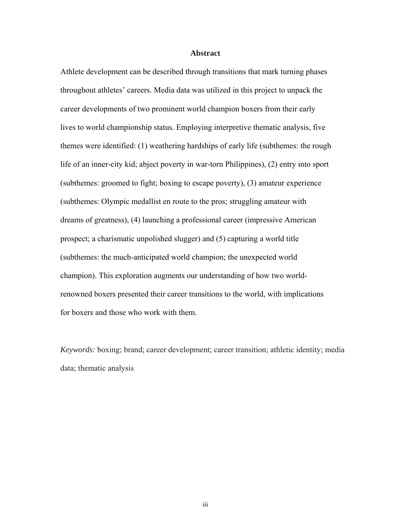#### **Abstract**

Athlete development can be described through transitions that mark turning phases throughout athletes' careers. Media data was utilized in this project to unpack the career developments of two prominent world champion boxers from their early lives to world championship status. Employing interpretive thematic analysis, five themes were identified: (1) weathering hardships of early life (subthemes: the rough life of an inner-city kid; abject poverty in war-torn Philippines), (2) entry into sport (subthemes: groomed to fight; boxing to escape poverty), (3) amateur experience (subthemes: Olympic medallist en route to the pros; struggling amateur with dreams of greatness), (4) launching a professional career (impressive American prospect; a charismatic unpolished slugger) and (5) capturing a world title (subthemes: the much-anticipated world champion; the unexpected world champion). This exploration augments our understanding of how two worldrenowned boxers presented their career transitions to the world, with implications for boxers and those who work with them.

*Keywords:* boxing; brand; career development; career transition; athletic identity; media data; thematic analysis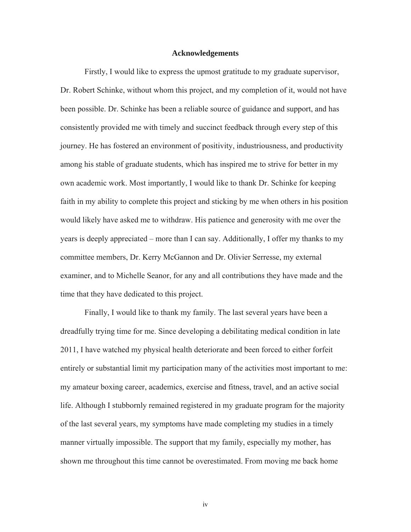#### **Acknowledgements**

 Firstly, I would like to express the upmost gratitude to my graduate supervisor, Dr. Robert Schinke, without whom this project, and my completion of it, would not have been possible. Dr. Schinke has been a reliable source of guidance and support, and has consistently provided me with timely and succinct feedback through every step of this journey. He has fostered an environment of positivity, industriousness, and productivity among his stable of graduate students, which has inspired me to strive for better in my own academic work. Most importantly, I would like to thank Dr. Schinke for keeping faith in my ability to complete this project and sticking by me when others in his position would likely have asked me to withdraw. His patience and generosity with me over the years is deeply appreciated – more than I can say. Additionally, I offer my thanks to my committee members, Dr. Kerry McGannon and Dr. Olivier Serresse, my external examiner, and to Michelle Seanor, for any and all contributions they have made and the time that they have dedicated to this project.

 Finally, I would like to thank my family. The last several years have been a dreadfully trying time for me. Since developing a debilitating medical condition in late 2011, I have watched my physical health deteriorate and been forced to either forfeit entirely or substantial limit my participation many of the activities most important to me: my amateur boxing career, academics, exercise and fitness, travel, and an active social life. Although I stubbornly remained registered in my graduate program for the majority of the last several years, my symptoms have made completing my studies in a timely manner virtually impossible. The support that my family, especially my mother, has shown me throughout this time cannot be overestimated. From moving me back home

iv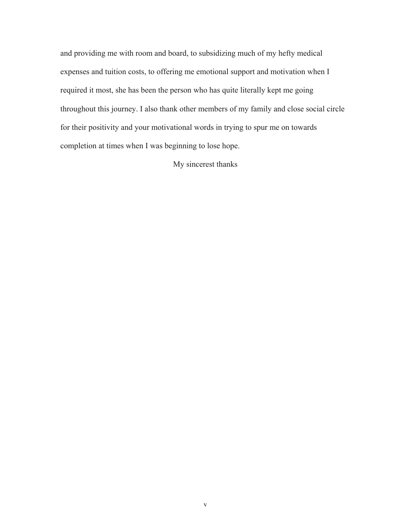and providing me with room and board, to subsidizing much of my hefty medical expenses and tuition costs, to offering me emotional support and motivation when I required it most, she has been the person who has quite literally kept me going throughout this journey. I also thank other members of my family and close social circle for their positivity and your motivational words in trying to spur me on towards completion at times when I was beginning to lose hope.

## My sincerest thanks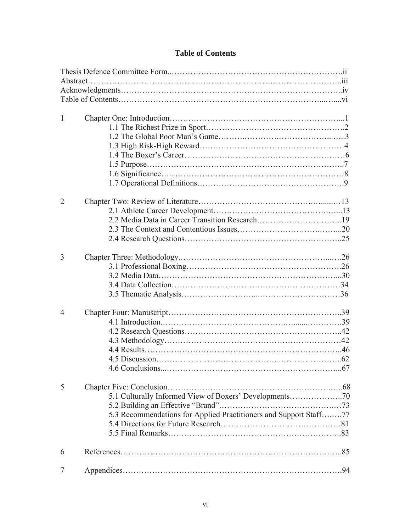| $\mathbf{1}$   |                                                                   |  |
|----------------|-------------------------------------------------------------------|--|
|                |                                                                   |  |
|                |                                                                   |  |
|                |                                                                   |  |
|                |                                                                   |  |
|                |                                                                   |  |
|                |                                                                   |  |
|                |                                                                   |  |
|                |                                                                   |  |
| $\overline{2}$ |                                                                   |  |
|                |                                                                   |  |
|                |                                                                   |  |
|                |                                                                   |  |
|                |                                                                   |  |
|                |                                                                   |  |
| 3              |                                                                   |  |
|                |                                                                   |  |
|                |                                                                   |  |
|                |                                                                   |  |
|                |                                                                   |  |
|                |                                                                   |  |
| $\overline{4}$ |                                                                   |  |
|                |                                                                   |  |
|                |                                                                   |  |
|                |                                                                   |  |
|                |                                                                   |  |
|                |                                                                   |  |
|                |                                                                   |  |
|                |                                                                   |  |
| 5              |                                                                   |  |
|                | 5.1 Culturally Informed View of Boxers' Developments70            |  |
|                |                                                                   |  |
|                | 5.3 Recommendations for Applied Practitioners and Support Staff77 |  |
|                |                                                                   |  |
|                |                                                                   |  |
|                |                                                                   |  |
|                |                                                                   |  |
| 6              |                                                                   |  |
| 7              |                                                                   |  |
|                |                                                                   |  |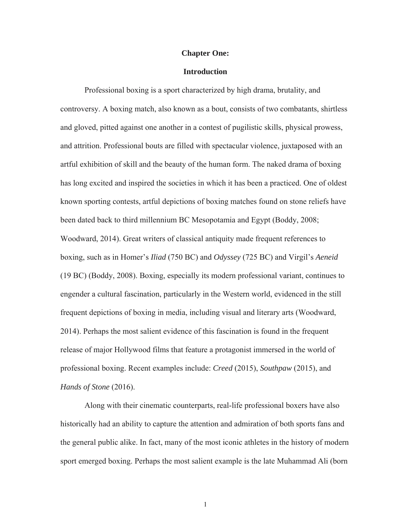#### **Chapter One:**

#### **Introduction**

Professional boxing is a sport characterized by high drama, brutality, and controversy. A boxing match, also known as a bout, consists of two combatants, shirtless and gloved, pitted against one another in a contest of pugilistic skills, physical prowess, and attrition. Professional bouts are filled with spectacular violence, juxtaposed with an artful exhibition of skill and the beauty of the human form. The naked drama of boxing has long excited and inspired the societies in which it has been a practiced. One of oldest known sporting contests, artful depictions of boxing matches found on stone reliefs have been dated back to third millennium BC Mesopotamia and Egypt (Boddy, 2008; Woodward, 2014). Great writers of classical antiquity made frequent references to boxing, such as in Homer's *Iliad* (750 BC) and *Odyssey* (725 BC) and Virgil's *Aeneid* (19 BC) (Boddy, 2008). Boxing, especially its modern professional variant, continues to engender a cultural fascination, particularly in the Western world, evidenced in the still frequent depictions of boxing in media, including visual and literary arts (Woodward, 2014). Perhaps the most salient evidence of this fascination is found in the frequent release of major Hollywood films that feature a protagonist immersed in the world of professional boxing. Recent examples include: *Creed* (2015), *Southpaw* (2015), and *Hands of Stone* (2016).

Along with their cinematic counterparts, real-life professional boxers have also historically had an ability to capture the attention and admiration of both sports fans and the general public alike. In fact, many of the most iconic athletes in the history of modern sport emerged boxing. Perhaps the most salient example is the late Muhammad Ali (born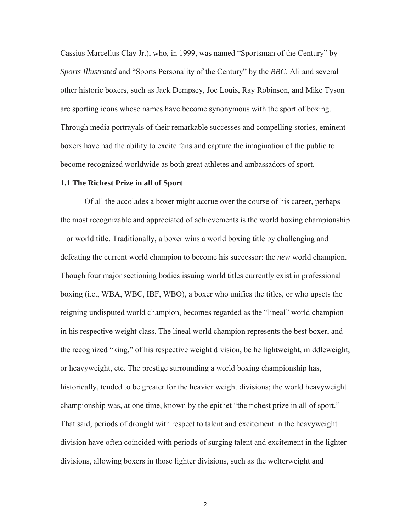Cassius Marcellus Clay Jr.), who, in 1999, was named "Sportsman of the Century" by *Sports Illustrated* and "Sports Personality of the Century" by the *BBC*. Ali and several other historic boxers, such as Jack Dempsey, Joe Louis, Ray Robinson, and Mike Tyson are sporting icons whose names have become synonymous with the sport of boxing. Through media portrayals of their remarkable successes and compelling stories, eminent boxers have had the ability to excite fans and capture the imagination of the public to become recognized worldwide as both great athletes and ambassadors of sport.

#### **1.1 The Richest Prize in all of Sport**

Of all the accolades a boxer might accrue over the course of his career, perhaps the most recognizable and appreciated of achievements is the world boxing championship – or world title. Traditionally, a boxer wins a world boxing title by challenging and defeating the current world champion to become his successor: the *new* world champion. Though four major sectioning bodies issuing world titles currently exist in professional boxing (i.e., WBA, WBC, IBF, WBO), a boxer who unifies the titles, or who upsets the reigning undisputed world champion, becomes regarded as the "lineal" world champion in his respective weight class. The lineal world champion represents the best boxer, and the recognized "king," of his respective weight division, be he lightweight, middleweight, or heavyweight, etc. The prestige surrounding a world boxing championship has, historically, tended to be greater for the heavier weight divisions; the world heavyweight championship was, at one time, known by the epithet "the richest prize in all of sport." That said, periods of drought with respect to talent and excitement in the heavyweight division have often coincided with periods of surging talent and excitement in the lighter divisions, allowing boxers in those lighter divisions, such as the welterweight and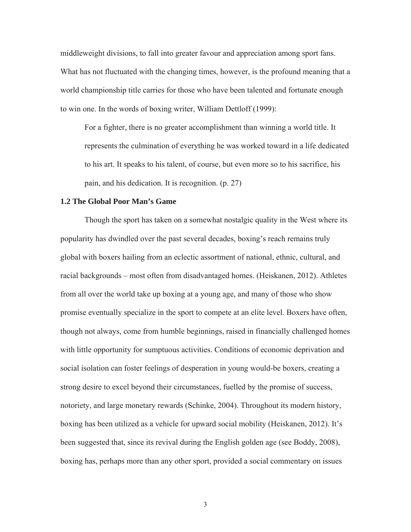middleweight divisions, to fall into greater favour and appreciation among sport fans. What has not fluctuated with the changing times, however, is the profound meaning that a world championship title carries for those who have been talented and fortunate enough to win one. In the words of boxing writer, William Dettloff (1999):

For a fighter, there is no greater accomplishment than winning a world title. It represents the culmination of everything he was worked toward in a life dedicated to his art. It speaks to his talent, of course, but even more so to his sacrifice, his pain, and his dedication. It is recognition. (p. 27)

#### **1.2 The Global Poor Man's Game**

Though the sport has taken on a somewhat nostalgic quality in the West where its popularity has dwindled over the past several decades, boxing's reach remains truly global with boxers hailing from an eclectic assortment of national, ethnic, cultural, and racial backgrounds – most often from disadvantaged homes. (Heiskanen, 2012). Athletes from all over the world take up boxing at a young age, and many of those who show promise eventually specialize in the sport to compete at an elite level. Boxers have often, though not always, come from humble beginnings, raised in financially challenged homes with little opportunity for sumptuous activities. Conditions of economic deprivation and social isolation can foster feelings of desperation in young would-be boxers, creating a strong desire to excel beyond their circumstances, fuelled by the promise of success, notoriety, and large monetary rewards (Schinke, 2004). Throughout its modern history, boxing has been utilized as a vehicle for upward social mobility (Heiskanen, 2012). It's been suggested that, since its revival during the English golden age (see Boddy, 2008), boxing has, perhaps more than any other sport, provided a social commentary on issues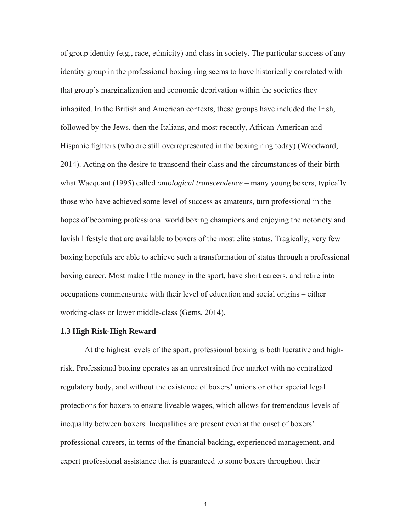of group identity (e.g., race, ethnicity) and class in society. The particular success of any identity group in the professional boxing ring seems to have historically correlated with that group's marginalization and economic deprivation within the societies they inhabited. In the British and American contexts, these groups have included the Irish, followed by the Jews, then the Italians, and most recently, African-American and Hispanic fighters (who are still overrepresented in the boxing ring today) (Woodward, 2014). Acting on the desire to transcend their class and the circumstances of their birth – what Wacquant (1995) called *ontological transcendence* – many young boxers, typically those who have achieved some level of success as amateurs, turn professional in the hopes of becoming professional world boxing champions and enjoying the notoriety and lavish lifestyle that are available to boxers of the most elite status. Tragically, very few boxing hopefuls are able to achieve such a transformation of status through a professional boxing career. Most make little money in the sport, have short careers, and retire into occupations commensurate with their level of education and social origins – either working-class or lower middle-class (Gems, 2014).

## **1.3 High Risk-High Reward**

At the highest levels of the sport, professional boxing is both lucrative and highrisk. Professional boxing operates as an unrestrained free market with no centralized regulatory body, and without the existence of boxers' unions or other special legal protections for boxers to ensure liveable wages, which allows for tremendous levels of inequality between boxers. Inequalities are present even at the onset of boxers' professional careers, in terms of the financial backing, experienced management, and expert professional assistance that is guaranteed to some boxers throughout their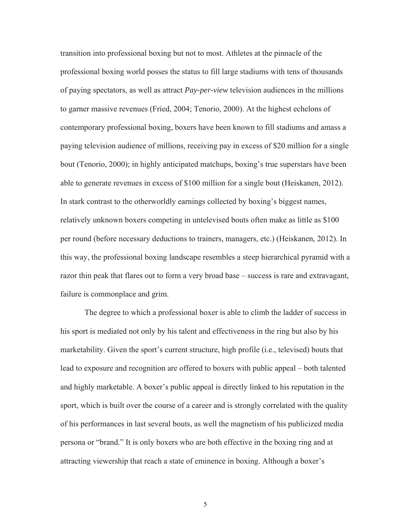transition into professional boxing but not to most. Athletes at the pinnacle of the professional boxing world posses the status to fill large stadiums with tens of thousands of paying spectators, as well as attract *Pay-per-view* television audiences in the millions to garner massive revenues (Fried, 2004; Tenorio, 2000). At the highest echelons of contemporary professional boxing, boxers have been known to fill stadiums and amass a paying television audience of millions, receiving pay in excess of \$20 million for a single bout (Tenorio, 2000); in highly anticipated matchups, boxing's true superstars have been able to generate revenues in excess of \$100 million for a single bout (Heiskanen, 2012). In stark contrast to the otherworldly earnings collected by boxing's biggest names, relatively unknown boxers competing in untelevised bouts often make as little as \$100 per round (before necessary deductions to trainers, managers, etc.) (Heiskanen, 2012). In this way, the professional boxing landscape resembles a steep hierarchical pyramid with a razor thin peak that flares out to form a very broad base – success is rare and extravagant, failure is commonplace and grim.

The degree to which a professional boxer is able to climb the ladder of success in his sport is mediated not only by his talent and effectiveness in the ring but also by his marketability. Given the sport's current structure, high profile (i.e., televised) bouts that lead to exposure and recognition are offered to boxers with public appeal – both talented and highly marketable. A boxer's public appeal is directly linked to his reputation in the sport, which is built over the course of a career and is strongly correlated with the quality of his performances in last several bouts, as well the magnetism of his publicized media persona or "brand." It is only boxers who are both effective in the boxing ring and at attracting viewership that reach a state of eminence in boxing. Although a boxer's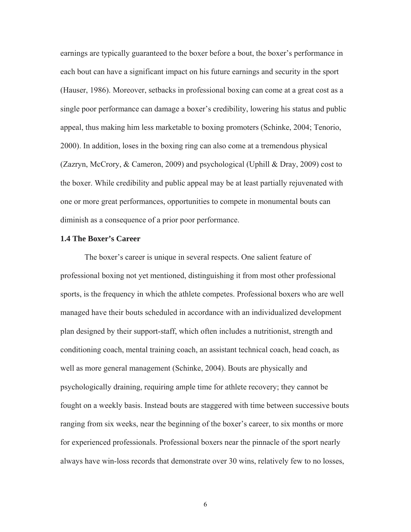earnings are typically guaranteed to the boxer before a bout, the boxer's performance in each bout can have a significant impact on his future earnings and security in the sport (Hauser, 1986). Moreover, setbacks in professional boxing can come at a great cost as a single poor performance can damage a boxer's credibility, lowering his status and public appeal, thus making him less marketable to boxing promoters (Schinke, 2004; Tenorio, 2000). In addition, loses in the boxing ring can also come at a tremendous physical (Zazryn, McCrory, & Cameron, 2009) and psychological (Uphill & Dray, 2009) cost to the boxer. While credibility and public appeal may be at least partially rejuvenated with one or more great performances, opportunities to compete in monumental bouts can diminish as a consequence of a prior poor performance.

#### **1.4 The Boxer's Career**

The boxer's career is unique in several respects. One salient feature of professional boxing not yet mentioned, distinguishing it from most other professional sports, is the frequency in which the athlete competes. Professional boxers who are well managed have their bouts scheduled in accordance with an individualized development plan designed by their support-staff, which often includes a nutritionist, strength and conditioning coach, mental training coach, an assistant technical coach, head coach, as well as more general management (Schinke, 2004). Bouts are physically and psychologically draining, requiring ample time for athlete recovery; they cannot be fought on a weekly basis. Instead bouts are staggered with time between successive bouts ranging from six weeks, near the beginning of the boxer's career, to six months or more for experienced professionals. Professional boxers near the pinnacle of the sport nearly always have win-loss records that demonstrate over 30 wins, relatively few to no losses,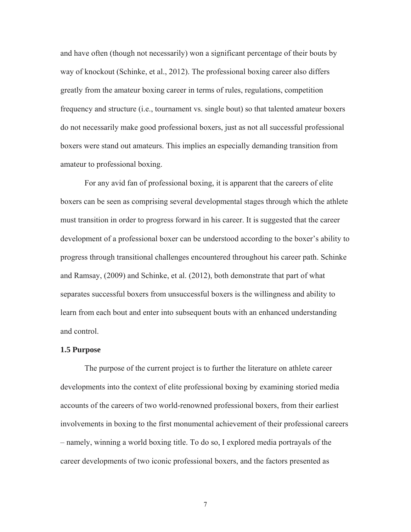and have often (though not necessarily) won a significant percentage of their bouts by way of knockout (Schinke, et al., 2012). The professional boxing career also differs greatly from the amateur boxing career in terms of rules, regulations, competition frequency and structure (i.e., tournament vs. single bout) so that talented amateur boxers do not necessarily make good professional boxers, just as not all successful professional boxers were stand out amateurs. This implies an especially demanding transition from amateur to professional boxing.

For any avid fan of professional boxing, it is apparent that the careers of elite boxers can be seen as comprising several developmental stages through which the athlete must transition in order to progress forward in his career. It is suggested that the career development of a professional boxer can be understood according to the boxer's ability to progress through transitional challenges encountered throughout his career path. Schinke and Ramsay, (2009) and Schinke, et al. (2012), both demonstrate that part of what separates successful boxers from unsuccessful boxers is the willingness and ability to learn from each bout and enter into subsequent bouts with an enhanced understanding and control.

#### **1.5 Purpose**

The purpose of the current project is to further the literature on athlete career developments into the context of elite professional boxing by examining storied media accounts of the careers of two world-renowned professional boxers, from their earliest involvements in boxing to the first monumental achievement of their professional careers – namely, winning a world boxing title. To do so, I explored media portrayals of the career developments of two iconic professional boxers, and the factors presented as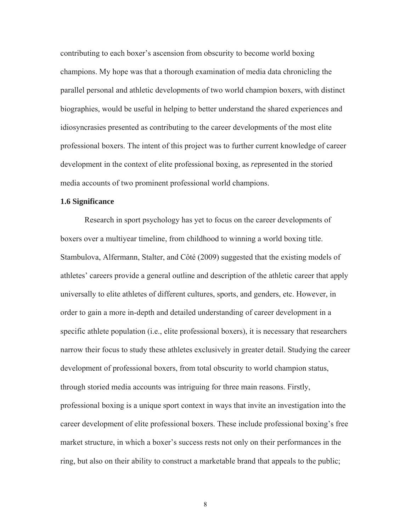contributing to each boxer's ascension from obscurity to become world boxing champions. My hope was that a thorough examination of media data chronicling the parallel personal and athletic developments of two world champion boxers, with distinct biographies, would be useful in helping to better understand the shared experiences and idiosyncrasies presented as contributing to the career developments of the most elite professional boxers. The intent of this project was to further current knowledge of career development in the context of elite professional boxing, as *re*presented in the storied media accounts of two prominent professional world champions.

## **1.6 Significance**

Research in sport psychology has yet to focus on the career developments of boxers over a multiyear timeline, from childhood to winning a world boxing title. Stambulova, Alfermann, Stalter, and Côté (2009) suggested that the existing models of athletes' careers provide a general outline and description of the athletic career that apply universally to elite athletes of different cultures, sports, and genders, etc. However, in order to gain a more in-depth and detailed understanding of career development in a specific athlete population (i.e., elite professional boxers), it is necessary that researchers narrow their focus to study these athletes exclusively in greater detail. Studying the career development of professional boxers, from total obscurity to world champion status, through storied media accounts was intriguing for three main reasons. Firstly, professional boxing is a unique sport context in ways that invite an investigation into the career development of elite professional boxers. These include professional boxing's free market structure, in which a boxer's success rests not only on their performances in the ring, but also on their ability to construct a marketable brand that appeals to the public;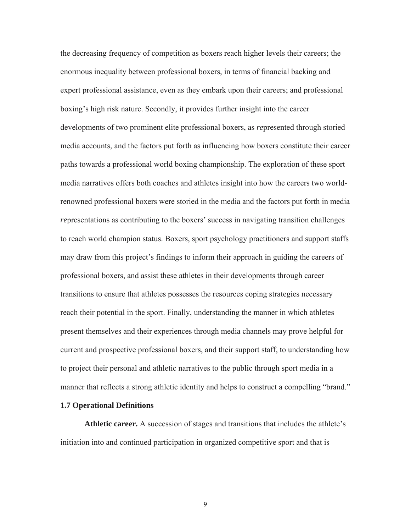the decreasing frequency of competition as boxers reach higher levels their careers; the enormous inequality between professional boxers, in terms of financial backing and expert professional assistance, even as they embark upon their careers; and professional boxing's high risk nature. Secondly, it provides further insight into the career developments of two prominent elite professional boxers, as *re*presented through storied media accounts, and the factors put forth as influencing how boxers constitute their career paths towards a professional world boxing championship. The exploration of these sport media narratives offers both coaches and athletes insight into how the careers two worldrenowned professional boxers were storied in the media and the factors put forth in media *representations as contributing to the boxers'* success in navigating transition challenges to reach world champion status. Boxers, sport psychology practitioners and support staffs may draw from this project's findings to inform their approach in guiding the careers of professional boxers, and assist these athletes in their developments through career transitions to ensure that athletes possesses the resources coping strategies necessary reach their potential in the sport. Finally, understanding the manner in which athletes present themselves and their experiences through media channels may prove helpful for current and prospective professional boxers, and their support staff, to understanding how to project their personal and athletic narratives to the public through sport media in a manner that reflects a strong athletic identity and helps to construct a compelling "brand."

#### **1.7 Operational Definitions**

**Athletic career.** A succession of stages and transitions that includes the athlete's initiation into and continued participation in organized competitive sport and that is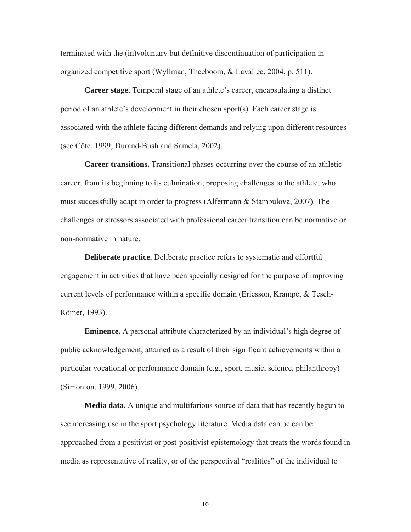terminated with the (in)voluntary but definitive discontinuation of participation in organized competitive sport (Wyllman, Theeboom, & Lavallee, 2004, p. 511).

**Career stage.** Temporal stage of an athlete's career, encapsulating a distinct period of an athlete's development in their chosen sport(s). Each career stage is associated with the athlete facing different demands and relying upon different resources (see Côté, 1999; Durand-Bush and Samela, 2002).

**Career transitions.** Transitional phases occurring over the course of an athletic career, from its beginning to its culmination, proposing challenges to the athlete, who must successfully adapt in order to progress (Alfermann & Stambulova, 2007). The challenges or stressors associated with professional career transition can be normative or non-normative in nature.

**Deliberate practice.** Deliberate practice refers to systematic and effortful engagement in activities that have been specially designed for the purpose of improving current levels of performance within a specific domain (Ericsson, Krampe, & Tesch-Römer, 1993).

**Eminence.** A personal attribute characterized by an individual's high degree of public acknowledgement, attained as a result of their significant achievements within a particular vocational or performance domain (e.g., sport, music, science, philanthropy) (Simonton, 1999, 2006).

**Media data.** A unique and multifarious source of data that has recently begun to see increasing use in the sport psychology literature. Media data can be can be approached from a positivist or post-positivist epistemology that treats the words found in media as representative of reality, or of the perspectival "realities" of the individual to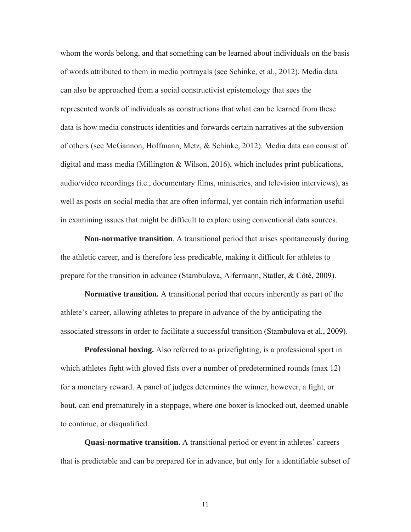whom the words belong, and that something can be learned about individuals on the basis of words attributed to them in media portrayals (see Schinke, et al., 2012). Media data can also be approached from a social constructivist epistemology that sees the represented words of individuals as constructions that what can be learned from these data is how media constructs identities and forwards certain narratives at the subversion of others (see McGannon, Hoffmann, Metz, & Schinke, 2012). Media data can consist of digital and mass media (Millington & Wilson, 2016), which includes print publications, audio/video recordings (i.e., documentary films, miniseries, and television interviews), as well as posts on social media that are often informal, yet contain rich information useful in examining issues that might be difficult to explore using conventional data sources.

**Non-normative transition**. A transitional period that arises spontaneously during the athletic career, and is therefore less predicable, making it difficult for athletes to prepare for the transition in advance (Stambulova, Alfermann, Statler, & Côté, 2009).

**Normative transition.** A transitional period that occurs inherently as part of the athlete's career, allowing athletes to prepare in advance of the by anticipating the associated stressors in order to facilitate a successful transition (Stambulova et al., 2009).

**Professional boxing.** Also referred to as prizefighting, is a professional sport in which athletes fight with gloved fists over a number of predetermined rounds (max 12) for a monetary reward. A panel of judges determines the winner, however, a fight, or bout, can end prematurely in a stoppage, where one boxer is knocked out, deemed unable to continue, or disqualified.

**Quasi-normative transition.** A transitional period or event in athletes' careers that is predictable and can be prepared for in advance, but only for a identifiable subset of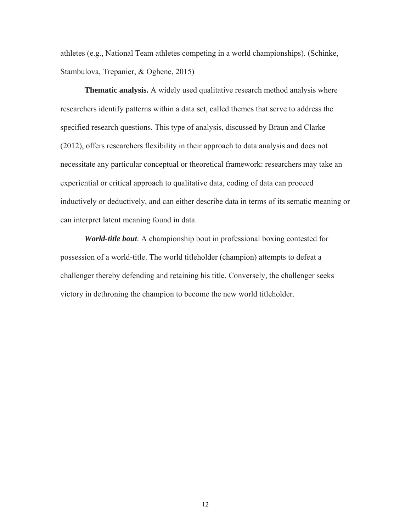athletes (e.g., National Team athletes competing in a world championships). (Schinke, Stambulova, Trepanier, & Oghene, 2015)

**Thematic analysis.** A widely used qualitative research method analysis where researchers identify patterns within a data set, called themes that serve to address the specified research questions. This type of analysis, discussed by Braun and Clarke (2012), offers researchers flexibility in their approach to data analysis and does not necessitate any particular conceptual or theoretical framework: researchers may take an experiential or critical approach to qualitative data, coding of data can proceed inductively or deductively, and can either describe data in terms of its sematic meaning or can interpret latent meaning found in data.

*World-title bout.* A championship bout in professional boxing contested for possession of a world-title. The world titleholder (champion) attempts to defeat a challenger thereby defending and retaining his title. Conversely, the challenger seeks victory in dethroning the champion to become the new world titleholder.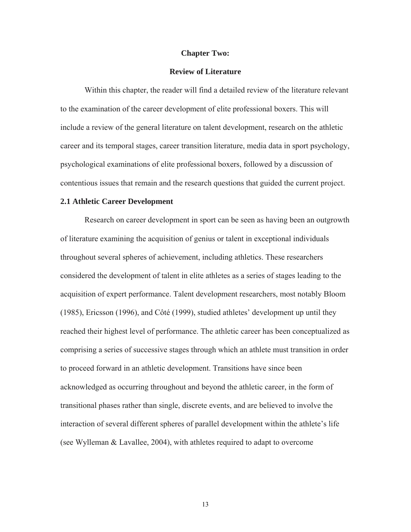#### **Chapter Two:**

## **Review of Literature**

Within this chapter, the reader will find a detailed review of the literature relevant to the examination of the career development of elite professional boxers. This will include a review of the general literature on talent development, research on the athletic career and its temporal stages, career transition literature, media data in sport psychology, psychological examinations of elite professional boxers, followed by a discussion of contentious issues that remain and the research questions that guided the current project.

#### **2.1 Athletic Career Development**

Research on career development in sport can be seen as having been an outgrowth of literature examining the acquisition of genius or talent in exceptional individuals throughout several spheres of achievement, including athletics. These researchers considered the development of talent in elite athletes as a series of stages leading to the acquisition of expert performance. Talent development researchers, most notably Bloom (1985), Ericsson (1996), and Côté (1999), studied athletes' development up until they reached their highest level of performance. The athletic career has been conceptualized as comprising a series of successive stages through which an athlete must transition in order to proceed forward in an athletic development. Transitions have since been acknowledged as occurring throughout and beyond the athletic career, in the form of transitional phases rather than single, discrete events, and are believed to involve the interaction of several different spheres of parallel development within the athlete's life (see Wylleman & Lavallee, 2004), with athletes required to adapt to overcome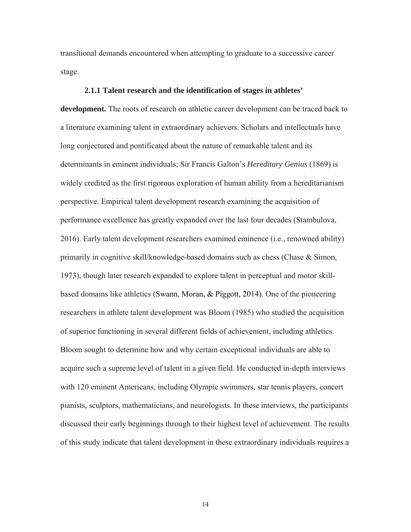transitional demands encountered when attempting to graduate to a successive career stage.

#### **2.1.1 Talent research and the identification of stages in athletes'**

**development.** The roots of research on athletic career development can be traced back to a literature examining talent in extraordinary achievers. Scholars and intellectuals have long conjectured and pontificated about the nature of remarkable talent and its determinants in eminent individuals; Sir Francis Galton's *Hereditary Genius* (1869) is widely credited as the first rigorous exploration of human ability from a hereditarianism perspective. Empirical talent development research examining the acquisition of performance excellence has greatly expanded over the last four decades (Stambulova, 2016). Early talent development researchers examined eminence (i.e., renowned ability) primarily in cognitive skill/knowledge-based domains such as chess (Chase  $\&$  Simon, 1973), though later research expanded to explore talent in perceptual and motor skillbased domains like athletics (Swann, Moran, & Piggott, 2014). One of the pioneering researchers in athlete talent development was Bloom (1985) who studied the acquisition of superior functioning in several different fields of achievement, including athletics. Bloom sought to determine how and why certain exceptional individuals are able to acquire such a supreme level of talent in a given field. He conducted in-depth interviews with 120 eminent Americans, including Olympic swimmers, star tennis players, concert pianists, sculptors, mathematicians, and neurologists. In these interviews, the participants discussed their early beginnings through to their highest level of achievement. The results of this study indicate that talent development in these extraordinary individuals requires a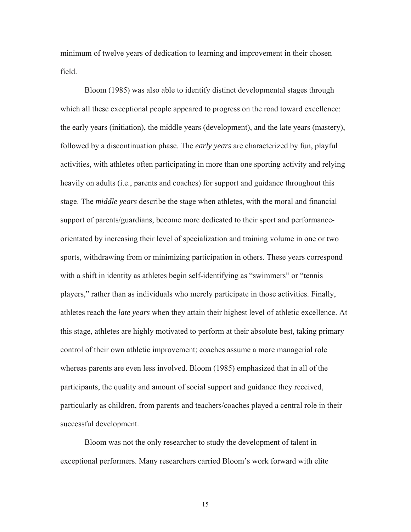minimum of twelve years of dedication to learning and improvement in their chosen field.

Bloom (1985) was also able to identify distinct developmental stages through which all these exceptional people appeared to progress on the road toward excellence: the early years (initiation), the middle years (development), and the late years (mastery), followed by a discontinuation phase. The *early years* are characterized by fun, playful activities, with athletes often participating in more than one sporting activity and relying heavily on adults (i.e., parents and coaches) for support and guidance throughout this stage. The *middle years* describe the stage when athletes, with the moral and financial support of parents/guardians, become more dedicated to their sport and performanceorientated by increasing their level of specialization and training volume in one or two sports, withdrawing from or minimizing participation in others. These years correspond with a shift in identity as athletes begin self-identifying as "swimmers" or "tennis" players," rather than as individuals who merely participate in those activities. Finally, athletes reach the *late years* when they attain their highest level of athletic excellence. At this stage, athletes are highly motivated to perform at their absolute best, taking primary control of their own athletic improvement; coaches assume a more managerial role whereas parents are even less involved. Bloom (1985) emphasized that in all of the participants, the quality and amount of social support and guidance they received, particularly as children, from parents and teachers/coaches played a central role in their successful development.

Bloom was not the only researcher to study the development of talent in exceptional performers. Many researchers carried Bloom's work forward with elite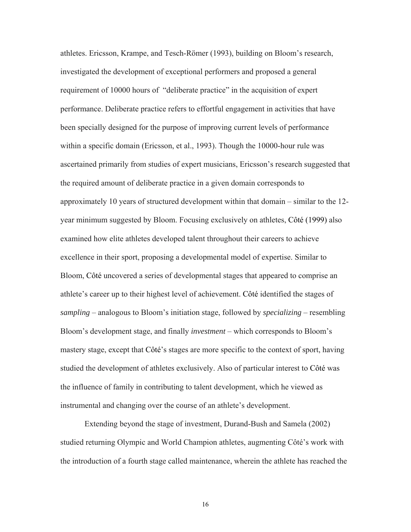athletes. Ericsson, Krampe, and Tesch-Römer (1993), building on Bloom's research, investigated the development of exceptional performers and proposed a general requirement of 10000 hours of "deliberate practice" in the acquisition of expert performance. Deliberate practice refers to effortful engagement in activities that have been specially designed for the purpose of improving current levels of performance within a specific domain (Ericsson, et al., 1993). Though the 10000-hour rule was ascertained primarily from studies of expert musicians, Ericsson's research suggested that the required amount of deliberate practice in a given domain corresponds to approximately 10 years of structured development within that domain – similar to the 12 year minimum suggested by Bloom. Focusing exclusively on athletes, Côté (1999) also examined how elite athletes developed talent throughout their careers to achieve excellence in their sport, proposing a developmental model of expertise. Similar to Bloom, Côté uncovered a series of developmental stages that appeared to comprise an athlete's career up to their highest level of achievement. Côté identified the stages of *sampling* – analogous to Bloom's initiation stage, followed by *specializing* – resembling Bloom's development stage, and finally *investment* – which corresponds to Bloom's mastery stage, except that Côté's stages are more specific to the context of sport, having studied the development of athletes exclusively. Also of particular interest to Côté was the influence of family in contributing to talent development, which he viewed as instrumental and changing over the course of an athlete's development.

Extending beyond the stage of investment, Durand-Bush and Samela (2002) studied returning Olympic and World Champion athletes, augmenting Côté's work with the introduction of a fourth stage called maintenance, wherein the athlete has reached the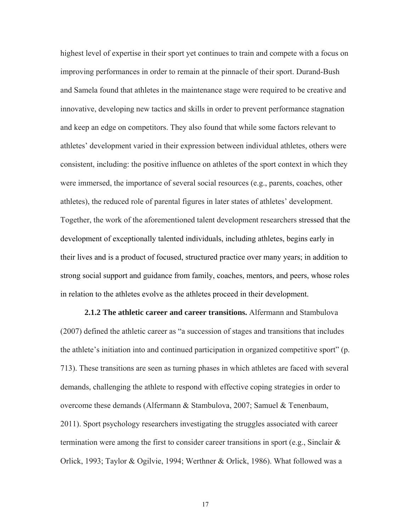highest level of expertise in their sport yet continues to train and compete with a focus on improving performances in order to remain at the pinnacle of their sport. Durand-Bush and Samela found that athletes in the maintenance stage were required to be creative and innovative, developing new tactics and skills in order to prevent performance stagnation and keep an edge on competitors. They also found that while some factors relevant to athletes' development varied in their expression between individual athletes, others were consistent, including: the positive influence on athletes of the sport context in which they were immersed, the importance of several social resources (e.g., parents, coaches, other athletes), the reduced role of parental figures in later states of athletes' development. Together, the work of the aforementioned talent development researchers stressed that the development of exceptionally talented individuals, including athletes, begins early in their lives and is a product of focused, structured practice over many years; in addition to strong social support and guidance from family, coaches, mentors, and peers, whose roles in relation to the athletes evolve as the athletes proceed in their development.

**2.1.2 The athletic career and career transitions.** Alfermann and Stambulova (2007) defined the athletic career as "a succession of stages and transitions that includes the athlete's initiation into and continued participation in organized competitive sport" (p. 713). These transitions are seen as turning phases in which athletes are faced with several demands, challenging the athlete to respond with effective coping strategies in order to overcome these demands (Alfermann & Stambulova, 2007; Samuel & Tenenbaum, 2011). Sport psychology researchers investigating the struggles associated with career termination were among the first to consider career transitions in sport (e.g., Sinclair & Orlick, 1993; Taylor & Ogilvie, 1994; Werthner & Orlick, 1986). What followed was a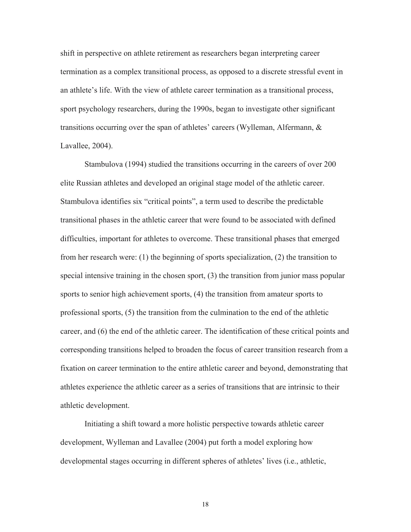shift in perspective on athlete retirement as researchers began interpreting career termination as a complex transitional process, as opposed to a discrete stressful event in an athlete's life. With the view of athlete career termination as a transitional process, sport psychology researchers, during the 1990s, began to investigate other significant transitions occurring over the span of athletes' careers (Wylleman, Alfermann, & Lavallee, 2004).

Stambulova (1994) studied the transitions occurring in the careers of over 200 elite Russian athletes and developed an original stage model of the athletic career. Stambulova identifies six "critical points", a term used to describe the predictable transitional phases in the athletic career that were found to be associated with defined difficulties, important for athletes to overcome. These transitional phases that emerged from her research were: (1) the beginning of sports specialization, (2) the transition to special intensive training in the chosen sport, (3) the transition from junior mass popular sports to senior high achievement sports, (4) the transition from amateur sports to professional sports, (5) the transition from the culmination to the end of the athletic career, and (6) the end of the athletic career. The identification of these critical points and corresponding transitions helped to broaden the focus of career transition research from a fixation on career termination to the entire athletic career and beyond, demonstrating that athletes experience the athletic career as a series of transitions that are intrinsic to their athletic development.

Initiating a shift toward a more holistic perspective towards athletic career development, Wylleman and Lavallee (2004) put forth a model exploring how developmental stages occurring in different spheres of athletes' lives (i.e., athletic,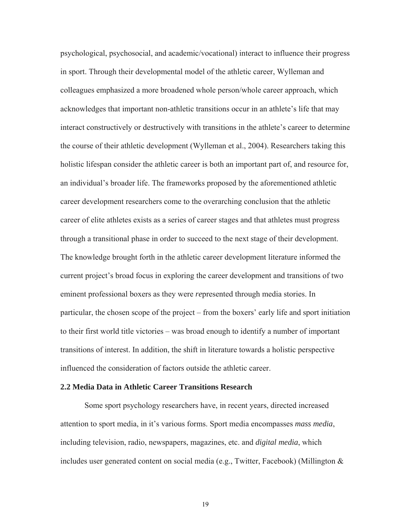psychological, psychosocial, and academic/vocational) interact to influence their progress in sport. Through their developmental model of the athletic career, Wylleman and colleagues emphasized a more broadened whole person/whole career approach, which acknowledges that important non-athletic transitions occur in an athlete's life that may interact constructively or destructively with transitions in the athlete's career to determine the course of their athletic development (Wylleman et al., 2004). Researchers taking this holistic lifespan consider the athletic career is both an important part of, and resource for, an individual's broader life. The frameworks proposed by the aforementioned athletic career development researchers come to the overarching conclusion that the athletic career of elite athletes exists as a series of career stages and that athletes must progress through a transitional phase in order to succeed to the next stage of their development. The knowledge brought forth in the athletic career development literature informed the current project's broad focus in exploring the career development and transitions of two eminent professional boxers as they were *re*presented through media stories. In particular, the chosen scope of the project – from the boxers' early life and sport initiation to their first world title victories – was broad enough to identify a number of important transitions of interest. In addition, the shift in literature towards a holistic perspective influenced the consideration of factors outside the athletic career.

#### **2.2 Media Data in Athletic Career Transitions Research**

Some sport psychology researchers have, in recent years, directed increased attention to sport media, in it's various forms. Sport media encompasses *mass media*, including television, radio, newspapers, magazines, etc. and *digital media*, which includes user generated content on social media (e.g., Twitter, Facebook) (Millington &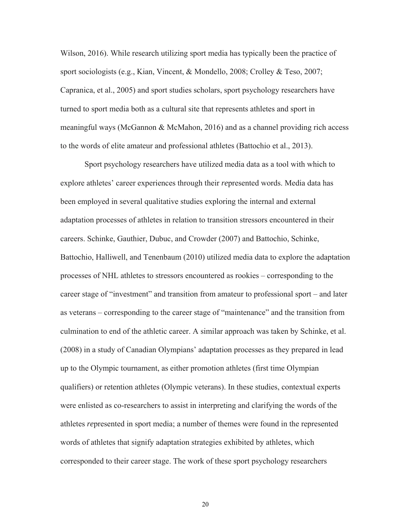Wilson, 2016). While research utilizing sport media has typically been the practice of sport sociologists (e.g., Kian, Vincent, & Mondello, 2008; Crolley & Teso, 2007; Capranica, et al., 2005) and sport studies scholars, sport psychology researchers have turned to sport media both as a cultural site that represents athletes and sport in meaningful ways (McGannon  $\&$  McMahon, 2016) and as a channel providing rich access to the words of elite amateur and professional athletes (Battochio et al., 2013).

Sport psychology researchers have utilized media data as a tool with which to explore athletes' career experiences through their *re*presented words. Media data has been employed in several qualitative studies exploring the internal and external adaptation processes of athletes in relation to transition stressors encountered in their careers. Schinke, Gauthier, Dubuc, and Crowder (2007) and Battochio, Schinke, Battochio, Halliwell, and Tenenbaum (2010) utilized media data to explore the adaptation processes of NHL athletes to stressors encountered as rookies – corresponding to the career stage of "investment" and transition from amateur to professional sport – and later as veterans – corresponding to the career stage of "maintenance" and the transition from culmination to end of the athletic career. A similar approach was taken by Schinke, et al. (2008) in a study of Canadian Olympians' adaptation processes as they prepared in lead up to the Olympic tournament, as either promotion athletes (first time Olympian qualifiers) or retention athletes (Olympic veterans). In these studies, contextual experts were enlisted as co-researchers to assist in interpreting and clarifying the words of the athletes *re*presented in sport media; a number of themes were found in the represented words of athletes that signify adaptation strategies exhibited by athletes, which corresponded to their career stage. The work of these sport psychology researchers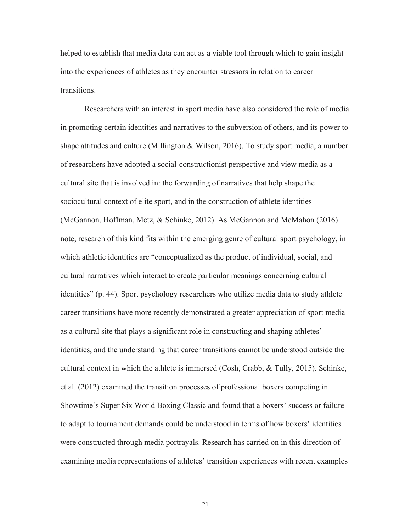helped to establish that media data can act as a viable tool through which to gain insight into the experiences of athletes as they encounter stressors in relation to career transitions.

Researchers with an interest in sport media have also considered the role of media in promoting certain identities and narratives to the subversion of others, and its power to shape attitudes and culture (Millington & Wilson, 2016). To study sport media, a number of researchers have adopted a social-constructionist perspective and view media as a cultural site that is involved in: the forwarding of narratives that help shape the sociocultural context of elite sport, and in the construction of athlete identities (McGannon, Hoffman, Metz, & Schinke, 2012). As McGannon and McMahon (2016) note, research of this kind fits within the emerging genre of cultural sport psychology, in which athletic identities are "conceptualized as the product of individual, social, and cultural narratives which interact to create particular meanings concerning cultural identities" (p. 44). Sport psychology researchers who utilize media data to study athlete career transitions have more recently demonstrated a greater appreciation of sport media as a cultural site that plays a significant role in constructing and shaping athletes' identities, and the understanding that career transitions cannot be understood outside the cultural context in which the athlete is immersed (Cosh, Crabb, & Tully, 2015). Schinke, et al. (2012) examined the transition processes of professional boxers competing in Showtime's Super Six World Boxing Classic and found that a boxers' success or failure to adapt to tournament demands could be understood in terms of how boxers' identities were constructed through media portrayals. Research has carried on in this direction of examining media representations of athletes' transition experiences with recent examples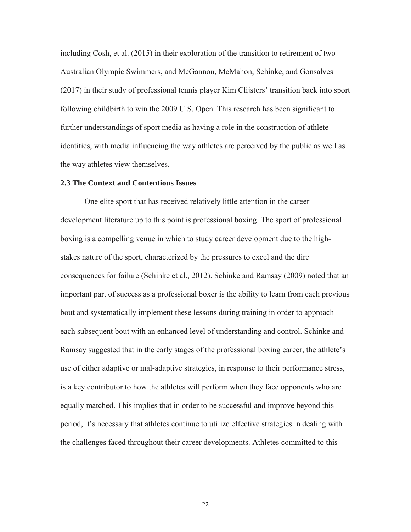including Cosh, et al. (2015) in their exploration of the transition to retirement of two Australian Olympic Swimmers, and McGannon, McMahon, Schinke, and Gonsalves (2017) in their study of professional tennis player Kim Clijsters' transition back into sport following childbirth to win the 2009 U.S. Open. This research has been significant to further understandings of sport media as having a role in the construction of athlete identities, with media influencing the way athletes are perceived by the public as well as the way athletes view themselves.

#### **2.3 The Context and Contentious Issues**

One elite sport that has received relatively little attention in the career development literature up to this point is professional boxing. The sport of professional boxing is a compelling venue in which to study career development due to the highstakes nature of the sport, characterized by the pressures to excel and the dire consequences for failure (Schinke et al., 2012). Schinke and Ramsay (2009) noted that an important part of success as a professional boxer is the ability to learn from each previous bout and systematically implement these lessons during training in order to approach each subsequent bout with an enhanced level of understanding and control. Schinke and Ramsay suggested that in the early stages of the professional boxing career, the athlete's use of either adaptive or mal-adaptive strategies, in response to their performance stress, is a key contributor to how the athletes will perform when they face opponents who are equally matched. This implies that in order to be successful and improve beyond this period, it's necessary that athletes continue to utilize effective strategies in dealing with the challenges faced throughout their career developments. Athletes committed to this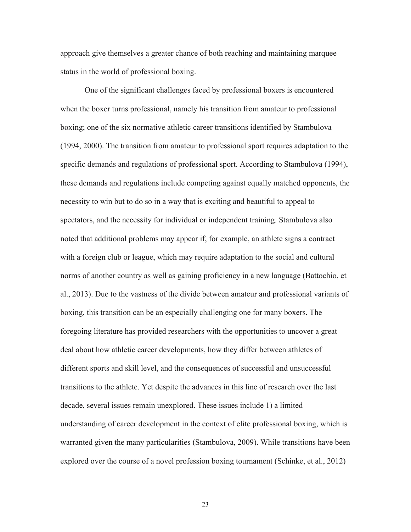approach give themselves a greater chance of both reaching and maintaining marquee status in the world of professional boxing.

One of the significant challenges faced by professional boxers is encountered when the boxer turns professional, namely his transition from amateur to professional boxing; one of the six normative athletic career transitions identified by Stambulova (1994, 2000). The transition from amateur to professional sport requires adaptation to the specific demands and regulations of professional sport. According to Stambulova (1994), these demands and regulations include competing against equally matched opponents, the necessity to win but to do so in a way that is exciting and beautiful to appeal to spectators, and the necessity for individual or independent training. Stambulova also noted that additional problems may appear if, for example, an athlete signs a contract with a foreign club or league, which may require adaptation to the social and cultural norms of another country as well as gaining proficiency in a new language (Battochio, et al., 2013). Due to the vastness of the divide between amateur and professional variants of boxing, this transition can be an especially challenging one for many boxers. The foregoing literature has provided researchers with the opportunities to uncover a great deal about how athletic career developments, how they differ between athletes of different sports and skill level, and the consequences of successful and unsuccessful transitions to the athlete. Yet despite the advances in this line of research over the last decade, several issues remain unexplored. These issues include 1) a limited understanding of career development in the context of elite professional boxing, which is warranted given the many particularities (Stambulova, 2009). While transitions have been explored over the course of a novel profession boxing tournament (Schinke, et al., 2012)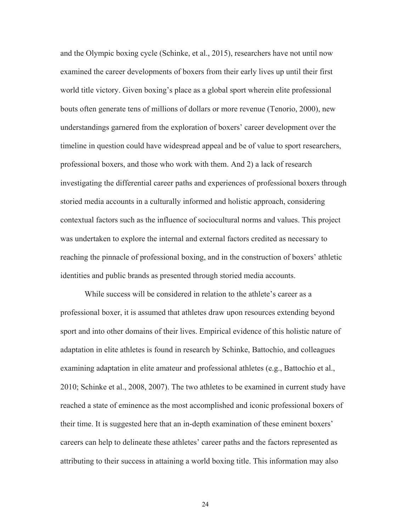and the Olympic boxing cycle (Schinke, et al., 2015), researchers have not until now examined the career developments of boxers from their early lives up until their first world title victory. Given boxing's place as a global sport wherein elite professional bouts often generate tens of millions of dollars or more revenue (Tenorio, 2000), new understandings garnered from the exploration of boxers' career development over the timeline in question could have widespread appeal and be of value to sport researchers, professional boxers, and those who work with them. And 2) a lack of research investigating the differential career paths and experiences of professional boxers through storied media accounts in a culturally informed and holistic approach, considering contextual factors such as the influence of sociocultural norms and values. This project was undertaken to explore the internal and external factors credited as necessary to reaching the pinnacle of professional boxing, and in the construction of boxers' athletic identities and public brands as presented through storied media accounts.

While success will be considered in relation to the athlete's career as a professional boxer, it is assumed that athletes draw upon resources extending beyond sport and into other domains of their lives. Empirical evidence of this holistic nature of adaptation in elite athletes is found in research by Schinke, Battochio, and colleagues examining adaptation in elite amateur and professional athletes (e.g., Battochio et al., 2010; Schinke et al., 2008, 2007). The two athletes to be examined in current study have reached a state of eminence as the most accomplished and iconic professional boxers of their time. It is suggested here that an in-depth examination of these eminent boxers' careers can help to delineate these athletes' career paths and the factors represented as attributing to their success in attaining a world boxing title. This information may also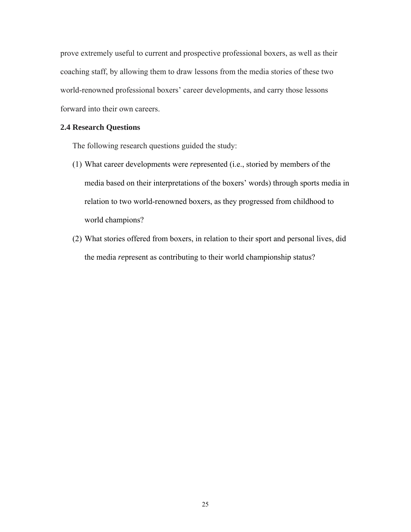prove extremely useful to current and prospective professional boxers, as well as their coaching staff, by allowing them to draw lessons from the media stories of these two world-renowned professional boxers' career developments, and carry those lessons forward into their own careers.

### **2.4 Research Questions**

The following research questions guided the study:

- (1) What career developments were *re*presented (i.e., storied by members of the media based on their interpretations of the boxers' words) through sports media in relation to two world-renowned boxers, as they progressed from childhood to world champions?
- (2) What stories offered from boxers, in relation to their sport and personal lives, did the media *re*present as contributing to their world championship status?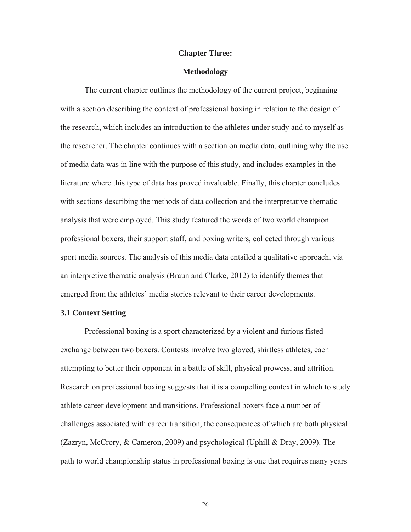#### **Chapter Three:**

#### **Methodology**

 The current chapter outlines the methodology of the current project, beginning with a section describing the context of professional boxing in relation to the design of the research, which includes an introduction to the athletes under study and to myself as the researcher. The chapter continues with a section on media data, outlining why the use of media data was in line with the purpose of this study, and includes examples in the literature where this type of data has proved invaluable. Finally, this chapter concludes with sections describing the methods of data collection and the interpretative thematic analysis that were employed. This study featured the words of two world champion professional boxers, their support staff, and boxing writers, collected through various sport media sources. The analysis of this media data entailed a qualitative approach, via an interpretive thematic analysis (Braun and Clarke, 2012) to identify themes that emerged from the athletes' media stories relevant to their career developments.

#### **3.1 Context Setting**

Professional boxing is a sport characterized by a violent and furious fisted exchange between two boxers. Contests involve two gloved, shirtless athletes, each attempting to better their opponent in a battle of skill, physical prowess, and attrition. Research on professional boxing suggests that it is a compelling context in which to study athlete career development and transitions. Professional boxers face a number of challenges associated with career transition, the consequences of which are both physical (Zazryn, McCrory, & Cameron, 2009) and psychological (Uphill & Dray, 2009). The path to world championship status in professional boxing is one that requires many years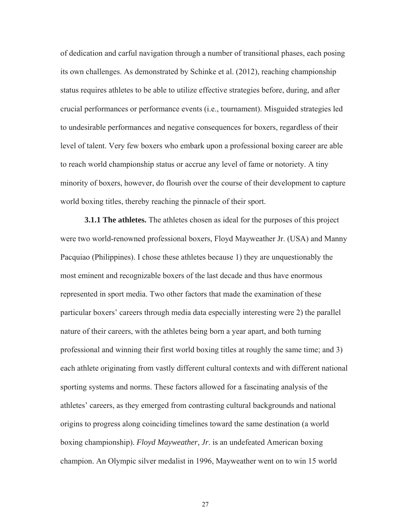of dedication and carful navigation through a number of transitional phases, each posing its own challenges. As demonstrated by Schinke et al. (2012), reaching championship status requires athletes to be able to utilize effective strategies before, during, and after crucial performances or performance events (i.e., tournament). Misguided strategies led to undesirable performances and negative consequences for boxers, regardless of their level of talent. Very few boxers who embark upon a professional boxing career are able to reach world championship status or accrue any level of fame or notoriety. A tiny minority of boxers, however, do flourish over the course of their development to capture world boxing titles, thereby reaching the pinnacle of their sport.

**3.1.1 The athletes.** The athletes chosen as ideal for the purposes of this project were two world-renowned professional boxers, Floyd Mayweather Jr. (USA) and Manny Pacquiao (Philippines). I chose these athletes because 1) they are unquestionably the most eminent and recognizable boxers of the last decade and thus have enormous represented in sport media. Two other factors that made the examination of these particular boxers' careers through media data especially interesting were 2) the parallel nature of their careers, with the athletes being born a year apart, and both turning professional and winning their first world boxing titles at roughly the same time; and 3) each athlete originating from vastly different cultural contexts and with different national sporting systems and norms. These factors allowed for a fascinating analysis of the athletes' careers, as they emerged from contrasting cultural backgrounds and national origins to progress along coinciding timelines toward the same destination (a world boxing championship). *Floyd Mayweather, Jr*. is an undefeated American boxing champion. An Olympic silver medalist in 1996, Mayweather went on to win 15 world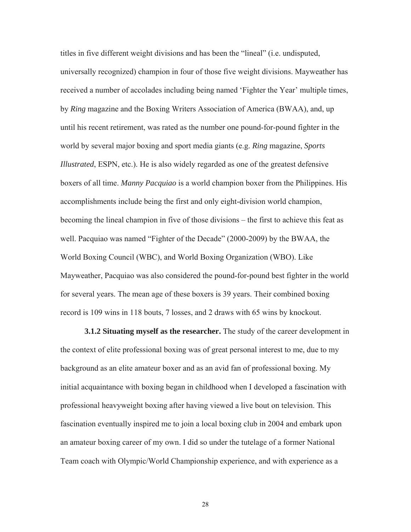titles in five different weight divisions and has been the "lineal" (i.e. undisputed, universally recognized) champion in four of those five weight divisions. Mayweather has received a number of accolades including being named 'Fighter the Year' multiple times, by *Ring* magazine and the Boxing Writers Association of America (BWAA), and, up until his recent retirement, was rated as the number one pound-for-pound fighter in the world by several major boxing and sport media giants (e.g. *Ring* magazine, *Sports Illustrated*, ESPN, etc.). He is also widely regarded as one of the greatest defensive boxers of all time. *Manny Pacquiao* is a world champion boxer from the Philippines. His accomplishments include being the first and only eight-division world champion, becoming the lineal champion in five of those divisions – the first to achieve this feat as well. Pacquiao was named "Fighter of the Decade" (2000-2009) by the BWAA, the World Boxing Council (WBC), and World Boxing Organization (WBO). Like Mayweather, Pacquiao was also considered the pound-for-pound best fighter in the world for several years. The mean age of these boxers is 39 years. Their combined boxing record is 109 wins in 118 bouts, 7 losses, and 2 draws with 65 wins by knockout.

**3.1.2 Situating myself as the researcher.** The study of the career development in the context of elite professional boxing was of great personal interest to me, due to my background as an elite amateur boxer and as an avid fan of professional boxing. My initial acquaintance with boxing began in childhood when I developed a fascination with professional heavyweight boxing after having viewed a live bout on television. This fascination eventually inspired me to join a local boxing club in 2004 and embark upon an amateur boxing career of my own. I did so under the tutelage of a former National Team coach with Olympic/World Championship experience, and with experience as a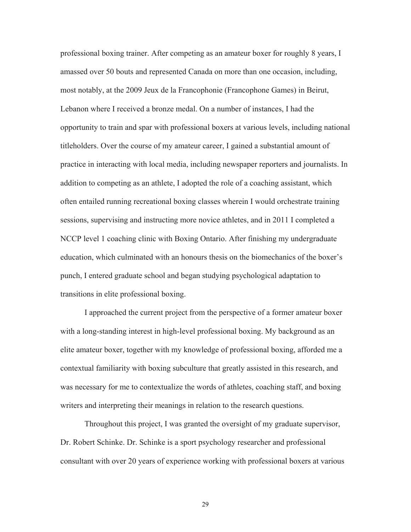professional boxing trainer. After competing as an amateur boxer for roughly 8 years, I amassed over 50 bouts and represented Canada on more than one occasion, including, most notably, at the 2009 Jeux de la Francophonie (Francophone Games) in Beirut, Lebanon where I received a bronze medal. On a number of instances, I had the opportunity to train and spar with professional boxers at various levels, including national titleholders. Over the course of my amateur career, I gained a substantial amount of practice in interacting with local media, including newspaper reporters and journalists. In addition to competing as an athlete, I adopted the role of a coaching assistant, which often entailed running recreational boxing classes wherein I would orchestrate training sessions, supervising and instructing more novice athletes, and in 2011 I completed a NCCP level 1 coaching clinic with Boxing Ontario. After finishing my undergraduate education, which culminated with an honours thesis on the biomechanics of the boxer's punch, I entered graduate school and began studying psychological adaptation to transitions in elite professional boxing.

I approached the current project from the perspective of a former amateur boxer with a long-standing interest in high-level professional boxing. My background as an elite amateur boxer, together with my knowledge of professional boxing, afforded me a contextual familiarity with boxing subculture that greatly assisted in this research, and was necessary for me to contextualize the words of athletes, coaching staff, and boxing writers and interpreting their meanings in relation to the research questions.

Throughout this project, I was granted the oversight of my graduate supervisor, Dr. Robert Schinke. Dr. Schinke is a sport psychology researcher and professional consultant with over 20 years of experience working with professional boxers at various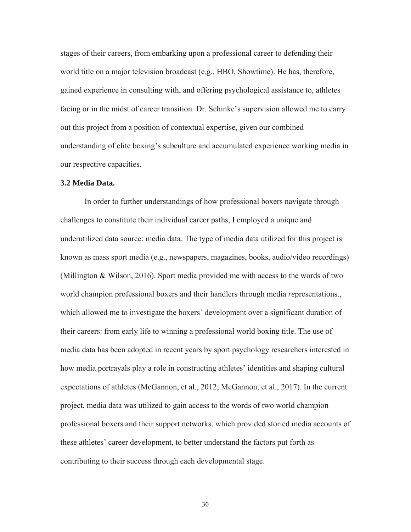stages of their careers, from embarking upon a professional career to defending their world title on a major television broadcast (e.g., HBO, Showtime). He has, therefore, gained experience in consulting with, and offering psychological assistance to, athletes facing or in the midst of career transition. Dr. Schinke's supervision allowed me to carry out this project from a position of contextual expertise, given our combined understanding of elite boxing's subculture and accumulated experience working media in our respective capacities.

#### **3.2 Media Data.**

In order to further understandings of how professional boxers navigate through challenges to constitute their individual career paths, I employed a unique and underutilized data source: media data. The type of media data utilized for this project is known as mass sport media (e.g., newspapers, magazines, books, audio/video recordings) (Millington & Wilson, 2016). Sport media provided me with access to the words of two world champion professional boxers and their handlers through media *re*presentations., which allowed me to investigate the boxers' development over a significant duration of their careers: from early life to winning a professional world boxing title. The use of media data has been adopted in recent years by sport psychology researchers interested in how media portrayals play a role in constructing athletes' identities and shaping cultural expectations of athletes (McGannon, et al., 2012; McGannon, et al., 2017). In the current project, media data was utilized to gain access to the words of two world champion professional boxers and their support networks, which provided storied media accounts of these athletes' career development, to better understand the factors put forth as contributing to their success through each developmental stage.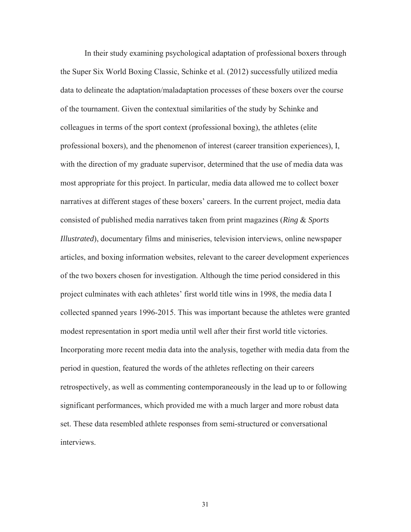In their study examining psychological adaptation of professional boxers through the Super Six World Boxing Classic, Schinke et al. (2012) successfully utilized media data to delineate the adaptation/maladaptation processes of these boxers over the course of the tournament. Given the contextual similarities of the study by Schinke and colleagues in terms of the sport context (professional boxing), the athletes (elite professional boxers), and the phenomenon of interest (career transition experiences), I, with the direction of my graduate supervisor, determined that the use of media data was most appropriate for this project. In particular, media data allowed me to collect boxer narratives at different stages of these boxers' careers. In the current project, media data consisted of published media narratives taken from print magazines (*Ring* & *Sports Illustrated*), documentary films and miniseries, television interviews, online newspaper articles, and boxing information websites, relevant to the career development experiences of the two boxers chosen for investigation. Although the time period considered in this project culminates with each athletes' first world title wins in 1998, the media data I collected spanned years 1996-2015. This was important because the athletes were granted modest representation in sport media until well after their first world title victories. Incorporating more recent media data into the analysis, together with media data from the period in question, featured the words of the athletes reflecting on their careers retrospectively, as well as commenting contemporaneously in the lead up to or following significant performances, which provided me with a much larger and more robust data set. These data resembled athlete responses from semi-structured or conversational interviews.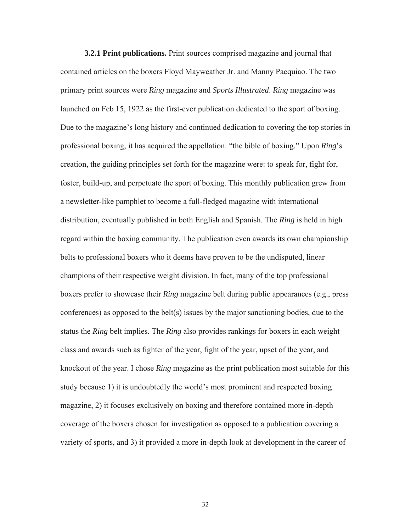**3.2.1 Print publications.** Print sources comprised magazine and journal that contained articles on the boxers Floyd Mayweather Jr. and Manny Pacquiao. The two primary print sources were *Ring* magazine and *Sports Illustrated*. *Ring* magazine was launched on Feb 15, 1922 as the first-ever publication dedicated to the sport of boxing. Due to the magazine's long history and continued dedication to covering the top stories in professional boxing, it has acquired the appellation: "the bible of boxing." Upon *Ring*'s creation, the guiding principles set forth for the magazine were: to speak for, fight for, foster, build-up, and perpetuate the sport of boxing. This monthly publication grew from a newsletter-like pamphlet to become a full-fledged magazine with international distribution, eventually published in both English and Spanish. The *Ring* is held in high regard within the boxing community. The publication even awards its own championship belts to professional boxers who it deems have proven to be the undisputed, linear champions of their respective weight division. In fact, many of the top professional boxers prefer to showcase their *Ring* magazine belt during public appearances (e.g., press conferences) as opposed to the belt(s) issues by the major sanctioning bodies, due to the status the *Ring* belt implies. The *Ring* also provides rankings for boxers in each weight class and awards such as fighter of the year, fight of the year, upset of the year, and knockout of the year. I chose *Ring* magazine as the print publication most suitable for this study because 1) it is undoubtedly the world's most prominent and respected boxing magazine, 2) it focuses exclusively on boxing and therefore contained more in-depth coverage of the boxers chosen for investigation as opposed to a publication covering a variety of sports, and 3) it provided a more in-depth look at development in the career of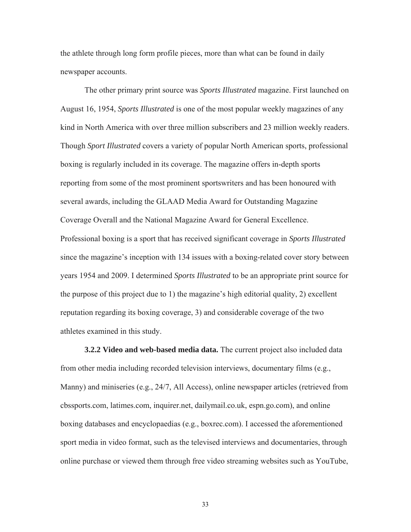the athlete through long form profile pieces, more than what can be found in daily newspaper accounts.

The other primary print source was *Sports Illustrated* magazine. First launched on August 16, 1954, *Sports Illustrated* is one of the most popular weekly magazines of any kind in North America with over three million subscribers and 23 million weekly readers. Though *Sport Illustrated* covers a variety of popular North American sports, professional boxing is regularly included in its coverage. The magazine offers in-depth sports reporting from some of the most prominent sportswriters and has been honoured with several awards, including the GLAAD Media Award for Outstanding Magazine Coverage Overall and the National Magazine Award for General Excellence. Professional boxing is a sport that has received significant coverage in *Sports Illustrated* since the magazine's inception with 134 issues with a boxing-related cover story between years 1954 and 2009. I determined *Sports Illustrated* to be an appropriate print source for the purpose of this project due to 1) the magazine's high editorial quality, 2) excellent reputation regarding its boxing coverage, 3) and considerable coverage of the two athletes examined in this study.

**3.2.2 Video and web-based media data.** The current project also included data from other media including recorded television interviews, documentary films (e.g., Manny) and miniseries (e.g., 24/7, All Access), online newspaper articles (retrieved from cbssports.com, latimes.com, inquirer.net, dailymail.co.uk, espn.go.com), and online boxing databases and encyclopaedias (e.g., boxrec.com). I accessed the aforementioned sport media in video format, such as the televised interviews and documentaries, through online purchase or viewed them through free video streaming websites such as YouTube,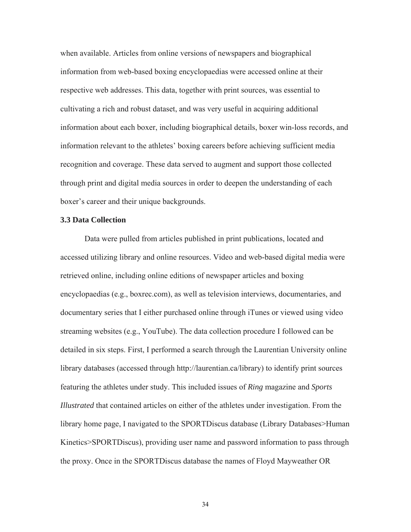when available. Articles from online versions of newspapers and biographical information from web-based boxing encyclopaedias were accessed online at their respective web addresses. This data, together with print sources, was essential to cultivating a rich and robust dataset, and was very useful in acquiring additional information about each boxer, including biographical details, boxer win-loss records, and information relevant to the athletes' boxing careers before achieving sufficient media recognition and coverage. These data served to augment and support those collected through print and digital media sources in order to deepen the understanding of each boxer's career and their unique backgrounds.

## **3.3 Data Collection**

Data were pulled from articles published in print publications, located and accessed utilizing library and online resources. Video and web-based digital media were retrieved online, including online editions of newspaper articles and boxing encyclopaedias (e.g., boxrec.com), as well as television interviews, documentaries, and documentary series that I either purchased online through iTunes or viewed using video streaming websites (e.g., YouTube). The data collection procedure I followed can be detailed in six steps. First, I performed a search through the Laurentian University online library databases (accessed through http://laurentian.ca/library) to identify print sources featuring the athletes under study. This included issues of *Ring* magazine and *Sports Illustrated* that contained articles on either of the athletes under investigation. From the library home page, I navigated to the SPORTDiscus database (Library Databases>Human Kinetics>SPORTDiscus), providing user name and password information to pass through the proxy. Once in the SPORTDiscus database the names of Floyd Mayweather OR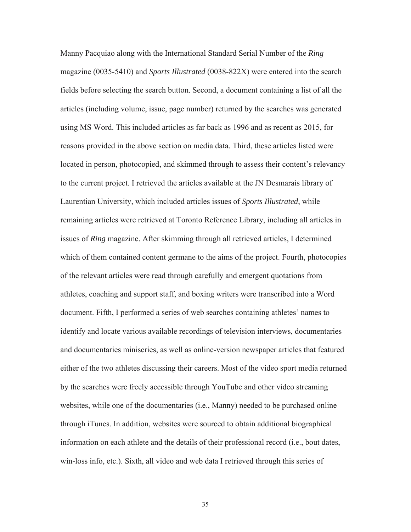Manny Pacquiao along with the International Standard Serial Number of the *Ring* magazine (0035-5410) and *Sports Illustrated* (0038-822X) were entered into the search fields before selecting the search button. Second, a document containing a list of all the articles (including volume, issue, page number) returned by the searches was generated using MS Word. This included articles as far back as 1996 and as recent as 2015, for reasons provided in the above section on media data. Third, these articles listed were located in person, photocopied, and skimmed through to assess their content's relevancy to the current project. I retrieved the articles available at the JN Desmarais library of Laurentian University, which included articles issues of *Sports Illustrated*, while remaining articles were retrieved at Toronto Reference Library, including all articles in issues of *Ring* magazine. After skimming through all retrieved articles, I determined which of them contained content germane to the aims of the project. Fourth, photocopies of the relevant articles were read through carefully and emergent quotations from athletes, coaching and support staff, and boxing writers were transcribed into a Word document. Fifth, I performed a series of web searches containing athletes' names to identify and locate various available recordings of television interviews, documentaries and documentaries miniseries, as well as online-version newspaper articles that featured either of the two athletes discussing their careers. Most of the video sport media returned by the searches were freely accessible through YouTube and other video streaming websites, while one of the documentaries (i.e., Manny) needed to be purchased online through iTunes. In addition, websites were sourced to obtain additional biographical information on each athlete and the details of their professional record (i.e., bout dates, win-loss info, etc.). Sixth, all video and web data I retrieved through this series of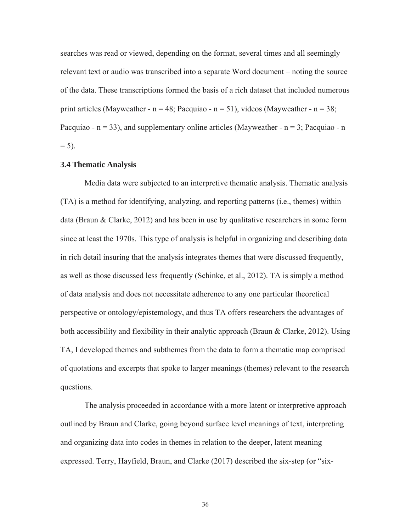searches was read or viewed, depending on the format, several times and all seemingly relevant text or audio was transcribed into a separate Word document – noting the source of the data. These transcriptions formed the basis of a rich dataset that included numerous print articles (Mayweather -  $n = 48$ ; Pacquiao -  $n = 51$ ), videos (Mayweather -  $n = 38$ ; Pacquiao - n = 33), and supplementary online articles (Mayweather - n = 3; Pacquiao - n  $= 5$ ).

## **3.4 Thematic Analysis**

Media data were subjected to an interpretive thematic analysis. Thematic analysis (TA) is a method for identifying, analyzing, and reporting patterns (i.e., themes) within data (Braun & Clarke, 2012) and has been in use by qualitative researchers in some form since at least the 1970s. This type of analysis is helpful in organizing and describing data in rich detail insuring that the analysis integrates themes that were discussed frequently, as well as those discussed less frequently (Schinke, et al., 2012). TA is simply a method of data analysis and does not necessitate adherence to any one particular theoretical perspective or ontology/epistemology, and thus TA offers researchers the advantages of both accessibility and flexibility in their analytic approach (Braun & Clarke, 2012). Using TA, I developed themes and subthemes from the data to form a thematic map comprised of quotations and excerpts that spoke to larger meanings (themes) relevant to the research questions.

The analysis proceeded in accordance with a more latent or interpretive approach outlined by Braun and Clarke, going beyond surface level meanings of text, interpreting and organizing data into codes in themes in relation to the deeper, latent meaning expressed. Terry, Hayfield, Braun, and Clarke (2017) described the six-step (or "six-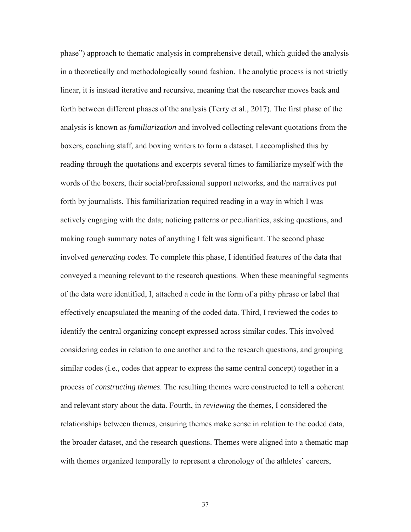phase") approach to thematic analysis in comprehensive detail, which guided the analysis in a theoretically and methodologically sound fashion. The analytic process is not strictly linear, it is instead iterative and recursive, meaning that the researcher moves back and forth between different phases of the analysis (Terry et al., 2017). The first phase of the analysis is known as *familiarization* and involved collecting relevant quotations from the boxers, coaching staff, and boxing writers to form a dataset. I accomplished this by reading through the quotations and excerpts several times to familiarize myself with the words of the boxers, their social/professional support networks, and the narratives put forth by journalists. This familiarization required reading in a way in which I was actively engaging with the data; noticing patterns or peculiarities, asking questions, and making rough summary notes of anything I felt was significant. The second phase involved *generating codes*. To complete this phase, I identified features of the data that conveyed a meaning relevant to the research questions. When these meaningful segments of the data were identified, I, attached a code in the form of a pithy phrase or label that effectively encapsulated the meaning of the coded data. Third, I reviewed the codes to identify the central organizing concept expressed across similar codes. This involved considering codes in relation to one another and to the research questions, and grouping similar codes (i.e., codes that appear to express the same central concept) together in a process of *constructing themes*. The resulting themes were constructed to tell a coherent and relevant story about the data. Fourth, in *reviewing* the themes, I considered the relationships between themes, ensuring themes make sense in relation to the coded data, the broader dataset, and the research questions. Themes were aligned into a thematic map with themes organized temporally to represent a chronology of the athletes' careers,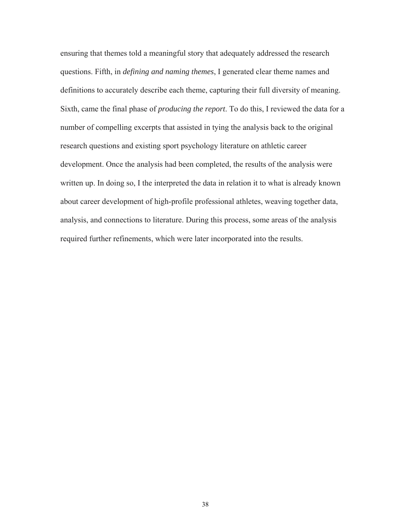ensuring that themes told a meaningful story that adequately addressed the research questions. Fifth, in *defining and naming themes*, I generated clear theme names and definitions to accurately describe each theme, capturing their full diversity of meaning. Sixth, came the final phase of *producing the report*. To do this, I reviewed the data for a number of compelling excerpts that assisted in tying the analysis back to the original research questions and existing sport psychology literature on athletic career development. Once the analysis had been completed, the results of the analysis were written up. In doing so, I the interpreted the data in relation it to what is already known about career development of high-profile professional athletes, weaving together data, analysis, and connections to literature. During this process, some areas of the analysis required further refinements, which were later incorporated into the results.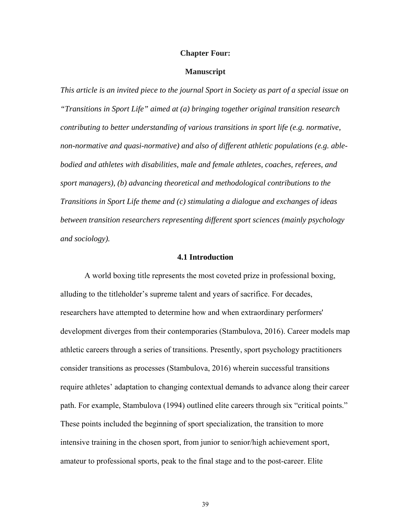### **Chapter Four:**

### **Manuscript**

*This article is an invited piece to the journal Sport in Society as part of a special issue on "Transitions in Sport Life" aimed at (a) bringing together original transition research contributing to better understanding of various transitions in sport life (e.g. normative, non-normative and quasi-normative) and also of different athletic populations (e.g. ablebodied and athletes with disabilities, male and female athletes, coaches, referees, and sport managers), (b) advancing theoretical and methodological contributions to the Transitions in Sport Life theme and (c) stimulating a dialogue and exchanges of ideas between transition researchers representing different sport sciences (mainly psychology and sociology).* 

### **4.1 Introduction**

A world boxing title represents the most coveted prize in professional boxing, alluding to the titleholder's supreme talent and years of sacrifice. For decades, researchers have attempted to determine how and when extraordinary performers' development diverges from their contemporaries (Stambulova, 2016). Career models map athletic careers through a series of transitions. Presently, sport psychology practitioners consider transitions as processes (Stambulova, 2016) wherein successful transitions require athletes' adaptation to changing contextual demands to advance along their career path. For example, Stambulova (1994) outlined elite careers through six "critical points." These points included the beginning of sport specialization, the transition to more intensive training in the chosen sport, from junior to senior/high achievement sport, amateur to professional sports, peak to the final stage and to the post-career. Elite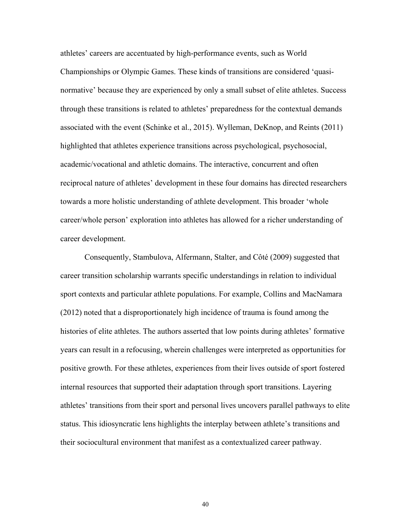athletes' careers are accentuated by high-performance events, such as World Championships or Olympic Games. These kinds of transitions are considered 'quasinormative' because they are experienced by only a small subset of elite athletes. Success through these transitions is related to athletes' preparedness for the contextual demands associated with the event (Schinke et al., 2015). Wylleman, DeKnop, and Reints (2011) highlighted that athletes experience transitions across psychological, psychosocial, academic/vocational and athletic domains. The interactive, concurrent and often reciprocal nature of athletes' development in these four domains has directed researchers towards a more holistic understanding of athlete development. This broader 'whole career/whole person' exploration into athletes has allowed for a richer understanding of career development.

Consequently, Stambulova, Alfermann, Stalter, and Côté (2009) suggested that career transition scholarship warrants specific understandings in relation to individual sport contexts and particular athlete populations. For example, Collins and MacNamara (2012) noted that a disproportionately high incidence of trauma is found among the histories of elite athletes. The authors asserted that low points during athletes' formative years can result in a refocusing, wherein challenges were interpreted as opportunities for positive growth. For these athletes, experiences from their lives outside of sport fostered internal resources that supported their adaptation through sport transitions. Layering athletes' transitions from their sport and personal lives uncovers parallel pathways to elite status. This idiosyncratic lens highlights the interplay between athlete's transitions and their sociocultural environment that manifest as a contextualized career pathway.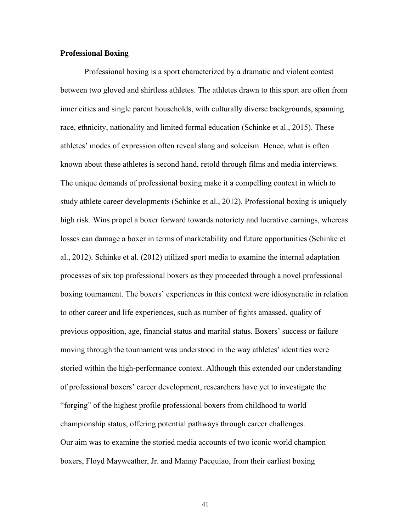## **Professional Boxing**

Professional boxing is a sport characterized by a dramatic and violent contest between two gloved and shirtless athletes. The athletes drawn to this sport are often from inner cities and single parent households, with culturally diverse backgrounds, spanning race, ethnicity, nationality and limited formal education (Schinke et al., 2015). These athletes' modes of expression often reveal slang and solecism. Hence, what is often known about these athletes is second hand, retold through films and media interviews. The unique demands of professional boxing make it a compelling context in which to study athlete career developments (Schinke et al., 2012). Professional boxing is uniquely high risk. Wins propel a boxer forward towards notoriety and lucrative earnings, whereas losses can damage a boxer in terms of marketability and future opportunities (Schinke et al., 2012). Schinke et al. (2012) utilized sport media to examine the internal adaptation processes of six top professional boxers as they proceeded through a novel professional boxing tournament. The boxers' experiences in this context were idiosyncratic in relation to other career and life experiences, such as number of fights amassed, quality of previous opposition, age, financial status and marital status. Boxers' success or failure moving through the tournament was understood in the way athletes' identities were storied within the high-performance context. Although this extended our understanding of professional boxers' career development, researchers have yet to investigate the "forging" of the highest profile professional boxers from childhood to world championship status, offering potential pathways through career challenges. Our aim was to examine the storied media accounts of two iconic world champion boxers, Floyd Mayweather, Jr. and Manny Pacquiao, from their earliest boxing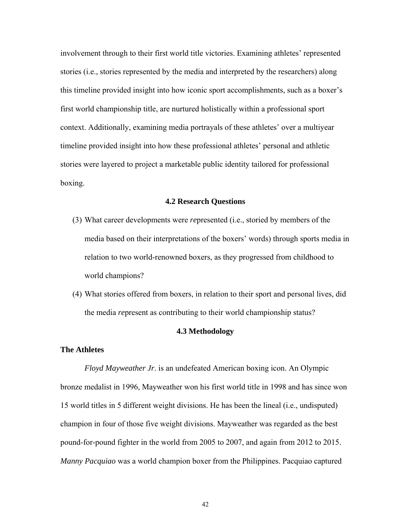involvement through to their first world title victories. Examining athletes' represented stories (i.e., stories represented by the media and interpreted by the researchers) along this timeline provided insight into how iconic sport accomplishments, such as a boxer's first world championship title, are nurtured holistically within a professional sport context. Additionally, examining media portrayals of these athletes' over a multiyear timeline provided insight into how these professional athletes' personal and athletic stories were layered to project a marketable public identity tailored for professional boxing.

#### **4.2 Research Questions**

- (3) What career developments were *re*presented (i.e., storied by members of the media based on their interpretations of the boxers' words) through sports media in relation to two world-renowned boxers, as they progressed from childhood to world champions?
- (4) What stories offered from boxers, in relation to their sport and personal lives, did the media *re*present as contributing to their world championship status?

#### **4.3 Methodology**

### **The Athletes**

*Floyd Mayweather Jr*. is an undefeated American boxing icon. An Olympic bronze medalist in 1996, Mayweather won his first world title in 1998 and has since won 15 world titles in 5 different weight divisions. He has been the lineal (i.e., undisputed) champion in four of those five weight divisions. Mayweather was regarded as the best pound-for-pound fighter in the world from 2005 to 2007, and again from 2012 to 2015. *Manny Pacquiao* was a world champion boxer from the Philippines. Pacquiao captured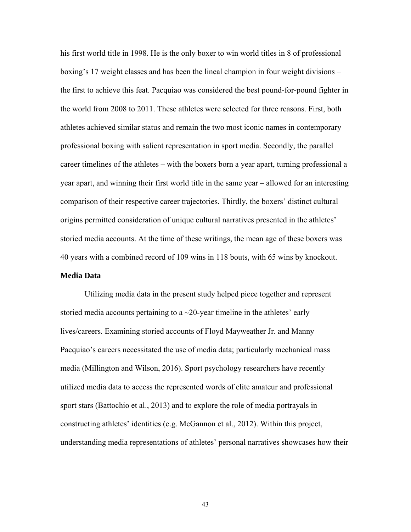his first world title in 1998. He is the only boxer to win world titles in 8 of professional boxing's 17 weight classes and has been the lineal champion in four weight divisions – the first to achieve this feat. Pacquiao was considered the best pound-for-pound fighter in the world from 2008 to 2011. These athletes were selected for three reasons. First, both athletes achieved similar status and remain the two most iconic names in contemporary professional boxing with salient representation in sport media. Secondly, the parallel career timelines of the athletes – with the boxers born a year apart, turning professional a year apart, and winning their first world title in the same year – allowed for an interesting comparison of their respective career trajectories. Thirdly, the boxers' distinct cultural origins permitted consideration of unique cultural narratives presented in the athletes' storied media accounts. At the time of these writings, the mean age of these boxers was 40 years with a combined record of 109 wins in 118 bouts, with 65 wins by knockout.

# **Media Data**

Utilizing media data in the present study helped piece together and represent storied media accounts pertaining to a  $\sim$ 20-year timeline in the athletes' early lives/careers. Examining storied accounts of Floyd Mayweather Jr. and Manny Pacquiao's careers necessitated the use of media data; particularly mechanical mass media (Millington and Wilson, 2016). Sport psychology researchers have recently utilized media data to access the represented words of elite amateur and professional sport stars (Battochio et al., 2013) and to explore the role of media portrayals in constructing athletes' identities (e.g. McGannon et al., 2012). Within this project, understanding media representations of athletes' personal narratives showcases how their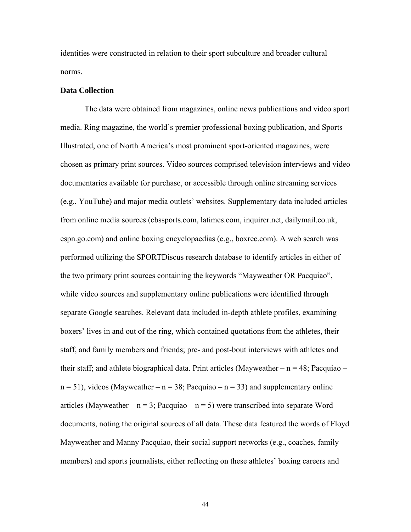identities were constructed in relation to their sport subculture and broader cultural norms.

## **Data Collection**

The data were obtained from magazines, online news publications and video sport media. Ring magazine, the world's premier professional boxing publication, and Sports Illustrated, one of North America's most prominent sport-oriented magazines, were chosen as primary print sources. Video sources comprised television interviews and video documentaries available for purchase, or accessible through online streaming services (e.g., YouTube) and major media outlets' websites. Supplementary data included articles from online media sources (cbssports.com, latimes.com, inquirer.net, dailymail.co.uk, espn.go.com) and online boxing encyclopaedias (e.g., boxrec.com). A web search was performed utilizing the SPORTDiscus research database to identify articles in either of the two primary print sources containing the keywords "Mayweather OR Pacquiao", while video sources and supplementary online publications were identified through separate Google searches. Relevant data included in-depth athlete profiles, examining boxers' lives in and out of the ring, which contained quotations from the athletes, their staff, and family members and friends; pre- and post-bout interviews with athletes and their staff; and athlete biographical data. Print articles (Mayweather  $- n = 48$ ; Pacquiao –  $n = 51$ ), videos (Mayweather –  $n = 38$ ; Pacquiao –  $n = 33$ ) and supplementary online articles (Mayweather  $-n = 3$ ; Pacquiao  $-n = 5$ ) were transcribed into separate Word documents, noting the original sources of all data. These data featured the words of Floyd Mayweather and Manny Pacquiao, their social support networks (e.g., coaches, family members) and sports journalists, either reflecting on these athletes' boxing careers and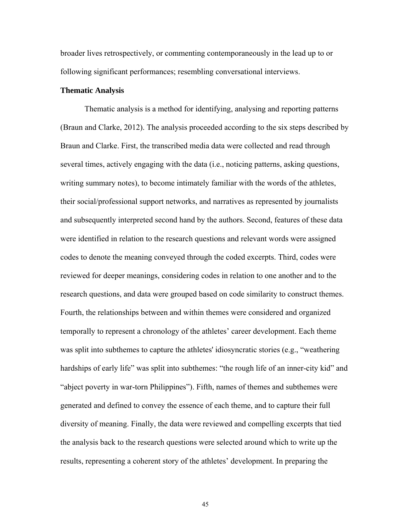broader lives retrospectively, or commenting contemporaneously in the lead up to or following significant performances; resembling conversational interviews.

## **Thematic Analysis**

Thematic analysis is a method for identifying, analysing and reporting patterns (Braun and Clarke, 2012). The analysis proceeded according to the six steps described by Braun and Clarke. First, the transcribed media data were collected and read through several times, actively engaging with the data (i.e., noticing patterns, asking questions, writing summary notes), to become intimately familiar with the words of the athletes, their social/professional support networks, and narratives as represented by journalists and subsequently interpreted second hand by the authors. Second, features of these data were identified in relation to the research questions and relevant words were assigned codes to denote the meaning conveyed through the coded excerpts. Third, codes were reviewed for deeper meanings, considering codes in relation to one another and to the research questions, and data were grouped based on code similarity to construct themes. Fourth, the relationships between and within themes were considered and organized temporally to represent a chronology of the athletes' career development. Each theme was split into subthemes to capture the athletes' idiosyncratic stories (e.g., "weathering hardships of early life" was split into subthemes: "the rough life of an inner-city kid" and "abject poverty in war-torn Philippines"). Fifth, names of themes and subthemes were generated and defined to convey the essence of each theme, and to capture their full diversity of meaning. Finally, the data were reviewed and compelling excerpts that tied the analysis back to the research questions were selected around which to write up the results, representing a coherent story of the athletes' development. In preparing the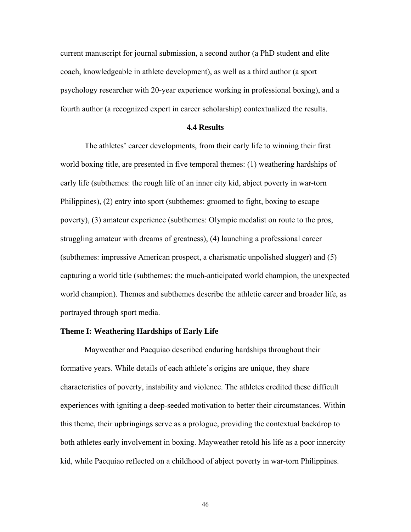current manuscript for journal submission, a second author (a PhD student and elite coach, knowledgeable in athlete development), as well as a third author (a sport psychology researcher with 20-year experience working in professional boxing), and a fourth author (a recognized expert in career scholarship) contextualized the results.

## **4.4 Results**

The athletes' career developments, from their early life to winning their first world boxing title, are presented in five temporal themes: (1) weathering hardships of early life (subthemes: the rough life of an inner city kid, abject poverty in war-torn Philippines), (2) entry into sport (subthemes: groomed to fight, boxing to escape poverty), (3) amateur experience (subthemes: Olympic medalist on route to the pros, struggling amateur with dreams of greatness), (4) launching a professional career (subthemes: impressive American prospect, a charismatic unpolished slugger) and (5) capturing a world title (subthemes: the much-anticipated world champion, the unexpected world champion). Themes and subthemes describe the athletic career and broader life, as portrayed through sport media.

## **Theme I: Weathering Hardships of Early Life**

Mayweather and Pacquiao described enduring hardships throughout their formative years. While details of each athlete's origins are unique, they share characteristics of poverty, instability and violence. The athletes credited these difficult experiences with igniting a deep-seeded motivation to better their circumstances. Within this theme, their upbringings serve as a prologue, providing the contextual backdrop to both athletes early involvement in boxing. Mayweather retold his life as a poor innercity kid, while Pacquiao reflected on a childhood of abject poverty in war-torn Philippines.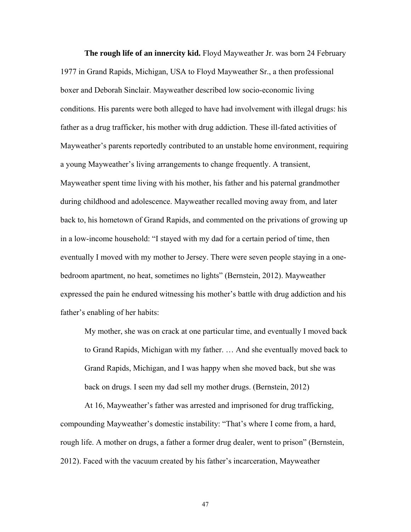**The rough life of an innercity kid.** Floyd Mayweather Jr. was born 24 February 1977 in Grand Rapids, Michigan, USA to Floyd Mayweather Sr., a then professional boxer and Deborah Sinclair. Mayweather described low socio-economic living conditions. His parents were both alleged to have had involvement with illegal drugs: his father as a drug trafficker, his mother with drug addiction. These ill-fated activities of Mayweather's parents reportedly contributed to an unstable home environment, requiring a young Mayweather's living arrangements to change frequently. A transient, Mayweather spent time living with his mother, his father and his paternal grandmother during childhood and adolescence. Mayweather recalled moving away from, and later back to, his hometown of Grand Rapids, and commented on the privations of growing up in a low-income household: "I stayed with my dad for a certain period of time, then eventually I moved with my mother to Jersey. There were seven people staying in a onebedroom apartment, no heat, sometimes no lights" (Bernstein, 2012). Mayweather expressed the pain he endured witnessing his mother's battle with drug addiction and his father's enabling of her habits:

My mother, she was on crack at one particular time, and eventually I moved back to Grand Rapids, Michigan with my father. … And she eventually moved back to Grand Rapids, Michigan, and I was happy when she moved back, but she was back on drugs. I seen my dad sell my mother drugs. (Bernstein, 2012)

At 16, Mayweather's father was arrested and imprisoned for drug trafficking, compounding Mayweather's domestic instability: "That's where I come from, a hard, rough life. A mother on drugs, a father a former drug dealer, went to prison" (Bernstein, 2012). Faced with the vacuum created by his father's incarceration, Mayweather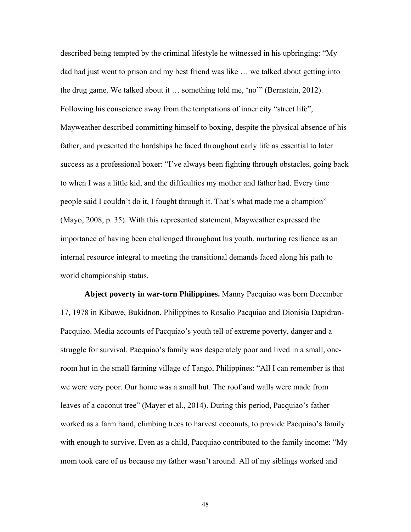described being tempted by the criminal lifestyle he witnessed in his upbringing: "My dad had just went to prison and my best friend was like … we talked about getting into the drug game. We talked about it … something told me, 'no'" (Bernstein, 2012). Following his conscience away from the temptations of inner city "street life", Mayweather described committing himself to boxing, despite the physical absence of his father, and presented the hardships he faced throughout early life as essential to later success as a professional boxer: "I've always been fighting through obstacles, going back to when I was a little kid, and the difficulties my mother and father had. Every time people said I couldn't do it, I fought through it. That's what made me a champion" (Mayo, 2008, p. 35). With this represented statement, Mayweather expressed the importance of having been challenged throughout his youth, nurturing resilience as an internal resource integral to meeting the transitional demands faced along his path to world championship status.

**Abject poverty in war-torn Philippines.** Manny Pacquiao was born December 17, 1978 in Kibawe, Bukidnon, Philippines to Rosalio Pacquiao and Dionisia Dapidran-Pacquiao. Media accounts of Pacquiao's youth tell of extreme poverty, danger and a struggle for survival. Pacquiao's family was desperately poor and lived in a small, oneroom hut in the small farming village of Tango, Philippines: "All I can remember is that we were very poor. Our home was a small hut. The roof and walls were made from leaves of a coconut tree" (Mayer et al., 2014). During this period, Pacquiao's father worked as a farm hand, climbing trees to harvest coconuts, to provide Pacquiao's family with enough to survive. Even as a child, Pacquiao contributed to the family income: "My mom took care of us because my father wasn't around. All of my siblings worked and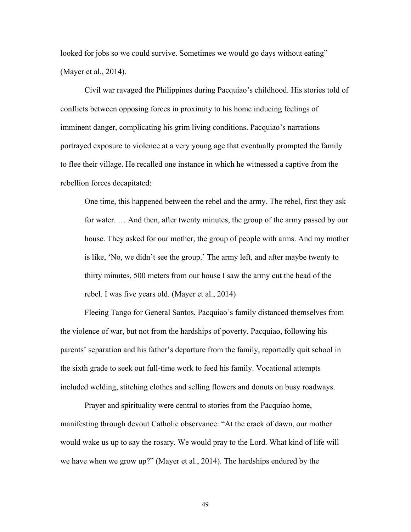looked for jobs so we could survive. Sometimes we would go days without eating" (Mayer et al., 2014).

Civil war ravaged the Philippines during Pacquiao's childhood. His stories told of conflicts between opposing forces in proximity to his home inducing feelings of imminent danger, complicating his grim living conditions. Pacquiao's narrations portrayed exposure to violence at a very young age that eventually prompted the family to flee their village. He recalled one instance in which he witnessed a captive from the rebellion forces decapitated:

One time, this happened between the rebel and the army. The rebel, first they ask for water. … And then, after twenty minutes, the group of the army passed by our house. They asked for our mother, the group of people with arms. And my mother is like, 'No, we didn't see the group.' The army left, and after maybe twenty to thirty minutes, 500 meters from our house I saw the army cut the head of the rebel. I was five years old. (Mayer et al., 2014)

Fleeing Tango for General Santos, Pacquiao's family distanced themselves from the violence of war, but not from the hardships of poverty. Pacquiao, following his parents' separation and his father's departure from the family, reportedly quit school in the sixth grade to seek out full-time work to feed his family. Vocational attempts included welding, stitching clothes and selling flowers and donuts on busy roadways.

Prayer and spirituality were central to stories from the Pacquiao home, manifesting through devout Catholic observance: "At the crack of dawn, our mother would wake us up to say the rosary. We would pray to the Lord. What kind of life will we have when we grow up?" (Mayer et al., 2014). The hardships endured by the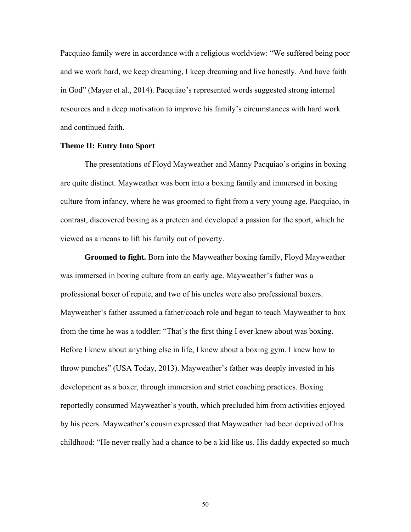Pacquiao family were in accordance with a religious worldview: "We suffered being poor and we work hard, we keep dreaming, I keep dreaming and live honestly. And have faith in God" (Mayer et al., 2014). Pacquiao's represented words suggested strong internal resources and a deep motivation to improve his family's circumstances with hard work and continued faith.

## **Theme II: Entry Into Sport**

The presentations of Floyd Mayweather and Manny Pacquiao's origins in boxing are quite distinct. Mayweather was born into a boxing family and immersed in boxing culture from infancy, where he was groomed to fight from a very young age. Pacquiao, in contrast, discovered boxing as a preteen and developed a passion for the sport, which he viewed as a means to lift his family out of poverty.

**Groomed to fight.** Born into the Mayweather boxing family, Floyd Mayweather was immersed in boxing culture from an early age. Mayweather's father was a professional boxer of repute, and two of his uncles were also professional boxers. Mayweather's father assumed a father/coach role and began to teach Mayweather to box from the time he was a toddler: "That's the first thing I ever knew about was boxing. Before I knew about anything else in life, I knew about a boxing gym. I knew how to throw punches" (USA Today, 2013). Mayweather's father was deeply invested in his development as a boxer, through immersion and strict coaching practices. Boxing reportedly consumed Mayweather's youth, which precluded him from activities enjoyed by his peers. Mayweather's cousin expressed that Mayweather had been deprived of his childhood: "He never really had a chance to be a kid like us. His daddy expected so much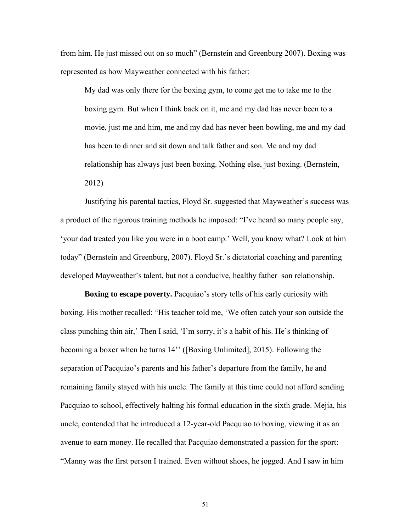from him. He just missed out on so much" (Bernstein and Greenburg 2007). Boxing was represented as how Mayweather connected with his father:

My dad was only there for the boxing gym, to come get me to take me to the boxing gym. But when I think back on it, me and my dad has never been to a movie, just me and him, me and my dad has never been bowling, me and my dad has been to dinner and sit down and talk father and son. Me and my dad relationship has always just been boxing. Nothing else, just boxing. (Bernstein, 2012)

Justifying his parental tactics, Floyd Sr. suggested that Mayweather's success was a product of the rigorous training methods he imposed: "I've heard so many people say, 'your dad treated you like you were in a boot camp.' Well, you know what? Look at him today" (Bernstein and Greenburg, 2007). Floyd Sr.'s dictatorial coaching and parenting developed Mayweather's talent, but not a conducive, healthy father–son relationship.

**Boxing to escape poverty.** Pacquiao's story tells of his early curiosity with boxing. His mother recalled: "His teacher told me, 'We often catch your son outside the class punching thin air,' Then I said, 'I'm sorry, it's a habit of his. He's thinking of becoming a boxer when he turns 14'' ([Boxing Unlimited], 2015). Following the separation of Pacquiao's parents and his father's departure from the family, he and remaining family stayed with his uncle. The family at this time could not afford sending Pacquiao to school, effectively halting his formal education in the sixth grade. Mejia, his uncle, contended that he introduced a 12-year-old Pacquiao to boxing, viewing it as an avenue to earn money. He recalled that Pacquiao demonstrated a passion for the sport: "Manny was the first person I trained. Even without shoes, he jogged. And I saw in him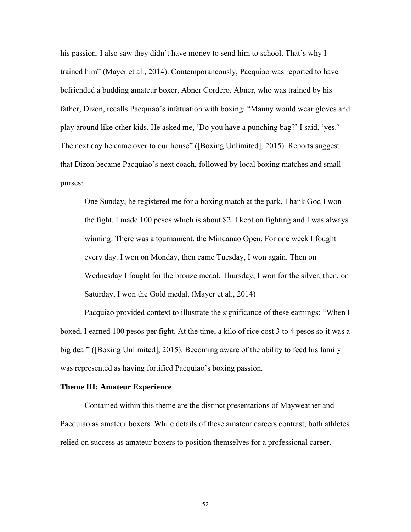his passion. I also saw they didn't have money to send him to school. That's why I trained him" (Mayer et al., 2014). Contemporaneously, Pacquiao was reported to have befriended a budding amateur boxer, Abner Cordero. Abner, who was trained by his father, Dizon, recalls Pacquiao's infatuation with boxing: "Manny would wear gloves and play around like other kids. He asked me, 'Do you have a punching bag?' I said, 'yes.' The next day he came over to our house" ([Boxing Unlimited], 2015). Reports suggest that Dizon became Pacquiao's next coach, followed by local boxing matches and small purses:

One Sunday, he registered me for a boxing match at the park. Thank God I won the fight. I made 100 pesos which is about \$2. I kept on fighting and I was always winning. There was a tournament, the Mindanao Open. For one week I fought every day. I won on Monday, then came Tuesday, I won again. Then on Wednesday I fought for the bronze medal. Thursday, I won for the silver, then, on Saturday, I won the Gold medal. (Mayer et al., 2014)

Pacquiao provided context to illustrate the significance of these earnings: "When I boxed, I earned 100 pesos per fight. At the time, a kilo of rice cost 3 to 4 pesos so it was a big deal" ([Boxing Unlimited], 2015). Becoming aware of the ability to feed his family was represented as having fortified Pacquiao's boxing passion.

## **Theme III: Amateur Experience**

Contained within this theme are the distinct presentations of Mayweather and Pacquiao as amateur boxers. While details of these amateur careers contrast, both athletes relied on success as amateur boxers to position themselves for a professional career.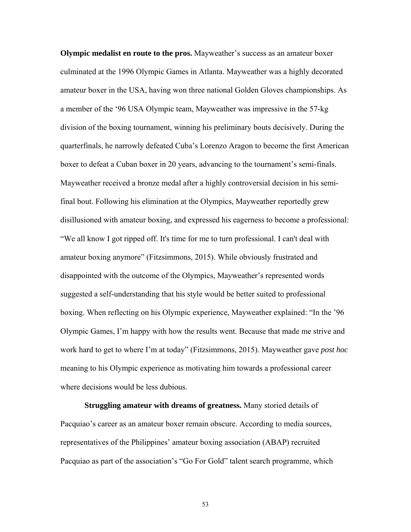**Olympic medalist en route to the pros.** Mayweather's success as an amateur boxer culminated at the 1996 Olympic Games in Atlanta. Mayweather was a highly decorated amateur boxer in the USA, having won three national Golden Gloves championships. As a member of the '96 USA Olympic team, Mayweather was impressive in the 57-kg division of the boxing tournament, winning his preliminary bouts decisively. During the quarterfinals, he narrowly defeated Cuba's Lorenzo Aragon to become the first American boxer to defeat a Cuban boxer in 20 years, advancing to the tournament's semi-finals. Mayweather received a bronze medal after a highly controversial decision in his semifinal bout. Following his elimination at the Olympics, Mayweather reportedly grew disillusioned with amateur boxing, and expressed his eagerness to become a professional: "We all know I got ripped off. It's time for me to turn professional. I can't deal with amateur boxing anymore" (Fitzsimmons, 2015). While obviously frustrated and disappointed with the outcome of the Olympics, Mayweather's represented words suggested a self-understanding that his style would be better suited to professional boxing. When reflecting on his Olympic experience, Mayweather explained: "In the '96 Olympic Games, I'm happy with how the results went. Because that made me strive and work hard to get to where I'm at today" (Fitzsimmons, 2015). Mayweather gave *post hoc* meaning to his Olympic experience as motivating him towards a professional career where decisions would be less dubious.

**Struggling amateur with dreams of greatness.** Many storied details of Pacquiao's career as an amateur boxer remain obscure. According to media sources, representatives of the Philippines' amateur boxing association (ABAP) recruited Pacquiao as part of the association's "Go For Gold" talent search programme, which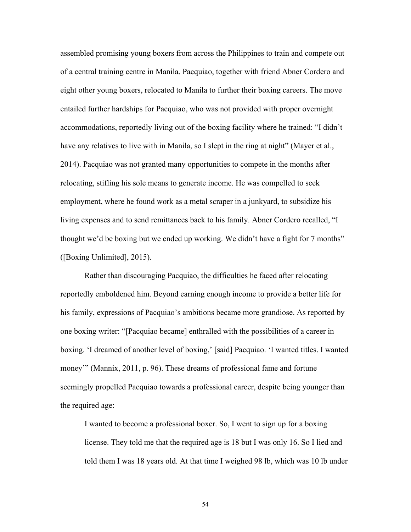assembled promising young boxers from across the Philippines to train and compete out of a central training centre in Manila. Pacquiao, together with friend Abner Cordero and eight other young boxers, relocated to Manila to further their boxing careers. The move entailed further hardships for Pacquiao, who was not provided with proper overnight accommodations, reportedly living out of the boxing facility where he trained: "I didn't have any relatives to live with in Manila, so I slept in the ring at night" (Mayer et al., 2014). Pacquiao was not granted many opportunities to compete in the months after relocating, stifling his sole means to generate income. He was compelled to seek employment, where he found work as a metal scraper in a junkyard, to subsidize his living expenses and to send remittances back to his family. Abner Cordero recalled, "I thought we'd be boxing but we ended up working. We didn't have a fight for 7 months" ([Boxing Unlimited], 2015).

Rather than discouraging Pacquiao, the difficulties he faced after relocating reportedly emboldened him. Beyond earning enough income to provide a better life for his family, expressions of Pacquiao's ambitions became more grandiose. As reported by one boxing writer: "[Pacquiao became] enthralled with the possibilities of a career in boxing. 'I dreamed of another level of boxing,' [said] Pacquiao. 'I wanted titles. I wanted money'" (Mannix, 2011, p. 96). These dreams of professional fame and fortune seemingly propelled Pacquiao towards a professional career, despite being younger than the required age:

I wanted to become a professional boxer. So, I went to sign up for a boxing license. They told me that the required age is 18 but I was only 16. So I lied and told them I was 18 years old. At that time I weighed 98 lb, which was 10 lb under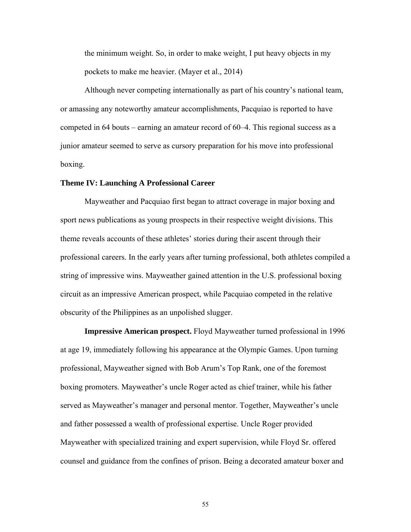the minimum weight. So, in order to make weight, I put heavy objects in my pockets to make me heavier. (Mayer et al., 2014)

Although never competing internationally as part of his country's national team, or amassing any noteworthy amateur accomplishments, Pacquiao is reported to have competed in 64 bouts – earning an amateur record of 60–4. This regional success as a junior amateur seemed to serve as cursory preparation for his move into professional boxing.

#### **Theme IV: Launching A Professional Career**

Mayweather and Pacquiao first began to attract coverage in major boxing and sport news publications as young prospects in their respective weight divisions. This theme reveals accounts of these athletes' stories during their ascent through their professional careers. In the early years after turning professional, both athletes compiled a string of impressive wins. Mayweather gained attention in the U.S. professional boxing circuit as an impressive American prospect, while Pacquiao competed in the relative obscurity of the Philippines as an unpolished slugger.

**Impressive American prospect.** Floyd Mayweather turned professional in 1996 at age 19, immediately following his appearance at the Olympic Games. Upon turning professional, Mayweather signed with Bob Arum's Top Rank, one of the foremost boxing promoters. Mayweather's uncle Roger acted as chief trainer, while his father served as Mayweather's manager and personal mentor. Together, Mayweather's uncle and father possessed a wealth of professional expertise. Uncle Roger provided Mayweather with specialized training and expert supervision, while Floyd Sr. offered counsel and guidance from the confines of prison. Being a decorated amateur boxer and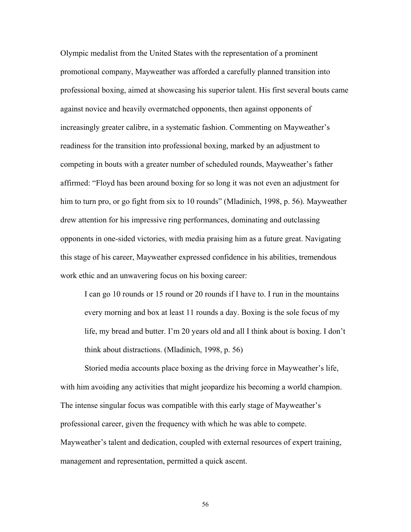Olympic medalist from the United States with the representation of a prominent promotional company, Mayweather was afforded a carefully planned transition into professional boxing, aimed at showcasing his superior talent. His first several bouts came against novice and heavily overmatched opponents, then against opponents of increasingly greater calibre, in a systematic fashion. Commenting on Mayweather's readiness for the transition into professional boxing, marked by an adjustment to competing in bouts with a greater number of scheduled rounds, Mayweather's father affirmed: "Floyd has been around boxing for so long it was not even an adjustment for him to turn pro, or go fight from six to 10 rounds" (Mladinich, 1998, p. 56). Mayweather drew attention for his impressive ring performances, dominating and outclassing opponents in one-sided victories, with media praising him as a future great. Navigating this stage of his career, Mayweather expressed confidence in his abilities, tremendous work ethic and an unwavering focus on his boxing career:

I can go 10 rounds or 15 round or 20 rounds if I have to. I run in the mountains every morning and box at least 11 rounds a day. Boxing is the sole focus of my life, my bread and butter. I'm 20 years old and all I think about is boxing. I don't think about distractions. (Mladinich, 1998, p. 56)

Storied media accounts place boxing as the driving force in Mayweather's life, with him avoiding any activities that might jeopardize his becoming a world champion. The intense singular focus was compatible with this early stage of Mayweather's professional career, given the frequency with which he was able to compete. Mayweather's talent and dedication, coupled with external resources of expert training, management and representation, permitted a quick ascent.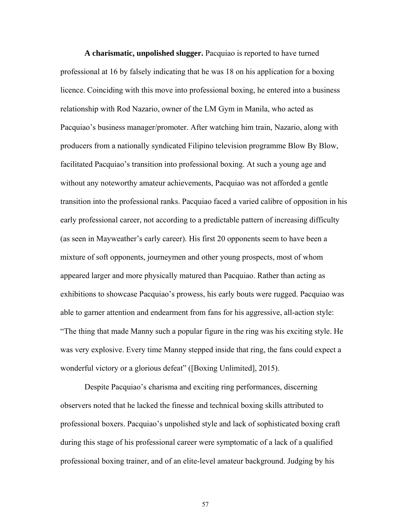**A charismatic, unpolished slugger.** Pacquiao is reported to have turned professional at 16 by falsely indicating that he was 18 on his application for a boxing licence. Coinciding with this move into professional boxing, he entered into a business relationship with Rod Nazario, owner of the LM Gym in Manila, who acted as Pacquiao's business manager/promoter. After watching him train, Nazario, along with producers from a nationally syndicated Filipino television programme Blow By Blow, facilitated Pacquiao's transition into professional boxing. At such a young age and without any noteworthy amateur achievements, Pacquiao was not afforded a gentle transition into the professional ranks. Pacquiao faced a varied calibre of opposition in his early professional career, not according to a predictable pattern of increasing difficulty (as seen in Mayweather's early career). His first 20 opponents seem to have been a mixture of soft opponents, journeymen and other young prospects, most of whom appeared larger and more physically matured than Pacquiao. Rather than acting as exhibitions to showcase Pacquiao's prowess, his early bouts were rugged. Pacquiao was able to garner attention and endearment from fans for his aggressive, all-action style: "The thing that made Manny such a popular figure in the ring was his exciting style. He was very explosive. Every time Manny stepped inside that ring, the fans could expect a wonderful victory or a glorious defeat" ([Boxing Unlimited], 2015).

Despite Pacquiao's charisma and exciting ring performances, discerning observers noted that he lacked the finesse and technical boxing skills attributed to professional boxers. Pacquiao's unpolished style and lack of sophisticated boxing craft during this stage of his professional career were symptomatic of a lack of a qualified professional boxing trainer, and of an elite-level amateur background. Judging by his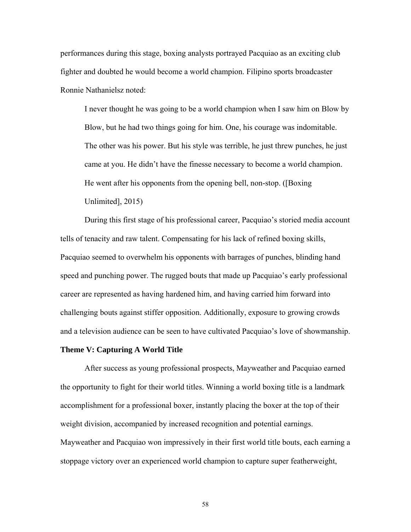performances during this stage, boxing analysts portrayed Pacquiao as an exciting club fighter and doubted he would become a world champion. Filipino sports broadcaster Ronnie Nathanielsz noted:

I never thought he was going to be a world champion when I saw him on Blow by Blow, but he had two things going for him. One, his courage was indomitable. The other was his power. But his style was terrible, he just threw punches, he just came at you. He didn't have the finesse necessary to become a world champion. He went after his opponents from the opening bell, non-stop. ([Boxing Unlimited], 2015)

During this first stage of his professional career, Pacquiao's storied media account tells of tenacity and raw talent. Compensating for his lack of refined boxing skills, Pacquiao seemed to overwhelm his opponents with barrages of punches, blinding hand speed and punching power. The rugged bouts that made up Pacquiao's early professional career are represented as having hardened him, and having carried him forward into challenging bouts against stiffer opposition. Additionally, exposure to growing crowds and a television audience can be seen to have cultivated Pacquiao's love of showmanship.

### **Theme V: Capturing A World Title**

After success as young professional prospects, Mayweather and Pacquiao earned the opportunity to fight for their world titles. Winning a world boxing title is a landmark accomplishment for a professional boxer, instantly placing the boxer at the top of their weight division, accompanied by increased recognition and potential earnings. Mayweather and Pacquiao won impressively in their first world title bouts, each earning a stoppage victory over an experienced world champion to capture super featherweight,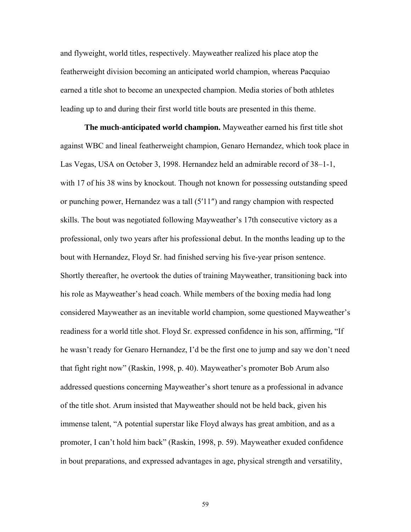and flyweight, world titles, respectively. Mayweather realized his place atop the featherweight division becoming an anticipated world champion, whereas Pacquiao earned a title shot to become an unexpected champion. Media stories of both athletes leading up to and during their first world title bouts are presented in this theme.

**The much-anticipated world champion.** Mayweather earned his first title shot against WBC and lineal featherweight champion, Genaro Hernandez, which took place in Las Vegas, USA on October 3, 1998. Hernandez held an admirable record of 38–1-1, with 17 of his 38 wins by knockout. Though not known for possessing outstanding speed or punching power, Hernandez was a tall (5′11″) and rangy champion with respected skills. The bout was negotiated following Mayweather's 17th consecutive victory as a professional, only two years after his professional debut. In the months leading up to the bout with Hernandez, Floyd Sr. had finished serving his five-year prison sentence. Shortly thereafter, he overtook the duties of training Mayweather, transitioning back into his role as Mayweather's head coach. While members of the boxing media had long considered Mayweather as an inevitable world champion, some questioned Mayweather's readiness for a world title shot. Floyd Sr. expressed confidence in his son, affirming, "If he wasn't ready for Genaro Hernandez, I'd be the first one to jump and say we don't need that fight right now" (Raskin, 1998, p. 40). Mayweather's promoter Bob Arum also addressed questions concerning Mayweather's short tenure as a professional in advance of the title shot. Arum insisted that Mayweather should not be held back, given his immense talent, "A potential superstar like Floyd always has great ambition, and as a promoter, I can't hold him back" (Raskin, 1998, p. 59). Mayweather exuded confidence in bout preparations, and expressed advantages in age, physical strength and versatility,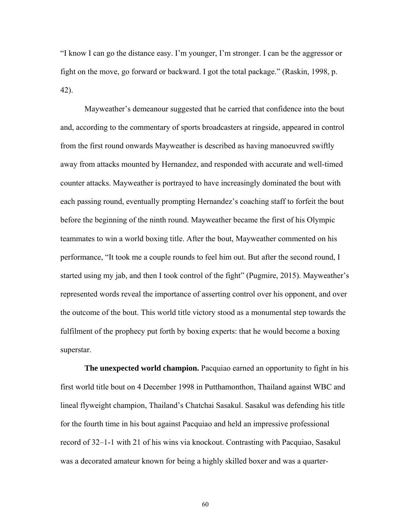"I know I can go the distance easy. I'm younger, I'm stronger. I can be the aggressor or fight on the move, go forward or backward. I got the total package." (Raskin, 1998, p. 42).

Mayweather's demeanour suggested that he carried that confidence into the bout and, according to the commentary of sports broadcasters at ringside, appeared in control from the first round onwards Mayweather is described as having manoeuvred swiftly away from attacks mounted by Hernandez, and responded with accurate and well-timed counter attacks. Mayweather is portrayed to have increasingly dominated the bout with each passing round, eventually prompting Hernandez's coaching staff to forfeit the bout before the beginning of the ninth round. Mayweather became the first of his Olympic teammates to win a world boxing title. After the bout, Mayweather commented on his performance, "It took me a couple rounds to feel him out. But after the second round, I started using my jab, and then I took control of the fight" (Pugmire, 2015). Mayweather's represented words reveal the importance of asserting control over his opponent, and over the outcome of the bout. This world title victory stood as a monumental step towards the fulfilment of the prophecy put forth by boxing experts: that he would become a boxing superstar.

**The unexpected world champion.** Pacquiao earned an opportunity to fight in his first world title bout on 4 December 1998 in Putthamonthon, Thailand against WBC and lineal flyweight champion, Thailand's Chatchai Sasakul. Sasakul was defending his title for the fourth time in his bout against Pacquiao and held an impressive professional record of 32–1-1 with 21 of his wins via knockout. Contrasting with Pacquiao, Sasakul was a decorated amateur known for being a highly skilled boxer and was a quarter-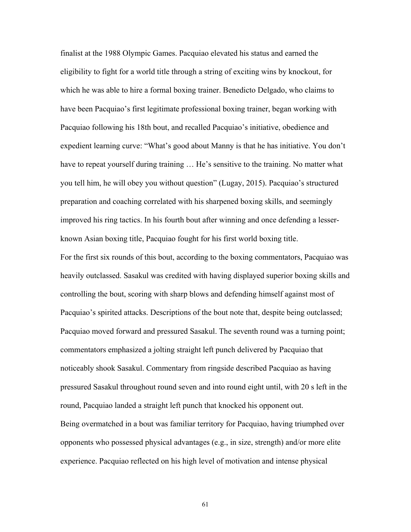finalist at the 1988 Olympic Games. Pacquiao elevated his status and earned the eligibility to fight for a world title through a string of exciting wins by knockout, for which he was able to hire a formal boxing trainer. Benedicto Delgado, who claims to have been Pacquiao's first legitimate professional boxing trainer, began working with Pacquiao following his 18th bout, and recalled Pacquiao's initiative, obedience and expedient learning curve: "What's good about Manny is that he has initiative. You don't have to repeat yourself during training ... He's sensitive to the training. No matter what you tell him, he will obey you without question" (Lugay, 2015). Pacquiao's structured preparation and coaching correlated with his sharpened boxing skills, and seemingly improved his ring tactics. In his fourth bout after winning and once defending a lesserknown Asian boxing title, Pacquiao fought for his first world boxing title. For the first six rounds of this bout, according to the boxing commentators, Pacquiao was heavily outclassed. Sasakul was credited with having displayed superior boxing skills and controlling the bout, scoring with sharp blows and defending himself against most of Pacquiao's spirited attacks. Descriptions of the bout note that, despite being outclassed; Pacquiao moved forward and pressured Sasakul. The seventh round was a turning point; commentators emphasized a jolting straight left punch delivered by Pacquiao that noticeably shook Sasakul. Commentary from ringside described Pacquiao as having pressured Sasakul throughout round seven and into round eight until, with 20 s left in the round, Pacquiao landed a straight left punch that knocked his opponent out. Being overmatched in a bout was familiar territory for Pacquiao, having triumphed over opponents who possessed physical advantages (e.g., in size, strength) and/or more elite experience. Pacquiao reflected on his high level of motivation and intense physical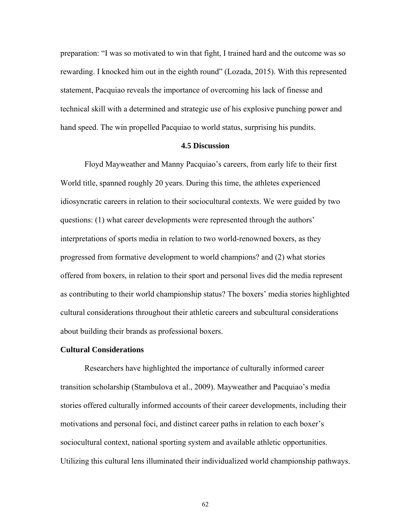preparation: "I was so motivated to win that fight, I trained hard and the outcome was so rewarding. I knocked him out in the eighth round" (Lozada, 2015). With this represented statement, Pacquiao reveals the importance of overcoming his lack of finesse and technical skill with a determined and strategic use of his explosive punching power and hand speed. The win propelled Pacquiao to world status, surprising his pundits.

### **4.5 Discussion**

Floyd Mayweather and Manny Pacquiao's careers, from early life to their first World title, spanned roughly 20 years. During this time, the athletes experienced idiosyncratic careers in relation to their sociocultural contexts. We were guided by two questions: (1) what career developments were represented through the authors' interpretations of sports media in relation to two world-renowned boxers, as they progressed from formative development to world champions? and (2) what stories offered from boxers, in relation to their sport and personal lives did the media represent as contributing to their world championship status? The boxers' media stories highlighted cultural considerations throughout their athletic careers and subcultural considerations about building their brands as professional boxers.

### **Cultural Considerations**

Researchers have highlighted the importance of culturally informed career transition scholarship (Stambulova et al., 2009). Mayweather and Pacquiao's media stories offered culturally informed accounts of their career developments, including their motivations and personal foci, and distinct career paths in relation to each boxer's sociocultural context, national sporting system and available athletic opportunities. Utilizing this cultural lens illuminated their individualized world championship pathways.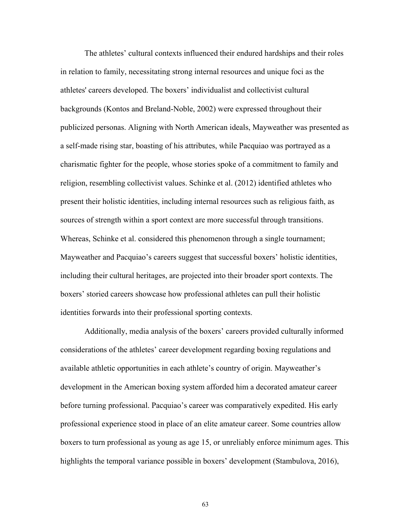The athletes' cultural contexts influenced their endured hardships and their roles in relation to family, necessitating strong internal resources and unique foci as the athletes' careers developed. The boxers' individualist and collectivist cultural backgrounds (Kontos and Breland-Noble, 2002) were expressed throughout their publicized personas. Aligning with North American ideals, Mayweather was presented as a self-made rising star, boasting of his attributes, while Pacquiao was portrayed as a charismatic fighter for the people, whose stories spoke of a commitment to family and religion, resembling collectivist values. Schinke et al. (2012) identified athletes who present their holistic identities, including internal resources such as religious faith, as sources of strength within a sport context are more successful through transitions. Whereas, Schinke et al. considered this phenomenon through a single tournament; Mayweather and Pacquiao's careers suggest that successful boxers' holistic identities, including their cultural heritages, are projected into their broader sport contexts. The boxers' storied careers showcase how professional athletes can pull their holistic identities forwards into their professional sporting contexts.

Additionally, media analysis of the boxers' careers provided culturally informed considerations of the athletes' career development regarding boxing regulations and available athletic opportunities in each athlete's country of origin. Mayweather's development in the American boxing system afforded him a decorated amateur career before turning professional. Pacquiao's career was comparatively expedited. His early professional experience stood in place of an elite amateur career. Some countries allow boxers to turn professional as young as age 15, or unreliably enforce minimum ages. This highlights the temporal variance possible in boxers' development (Stambulova, 2016),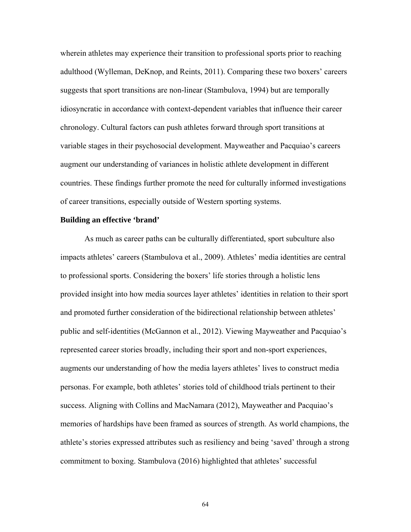wherein athletes may experience their transition to professional sports prior to reaching adulthood (Wylleman, DeKnop, and Reints, 2011). Comparing these two boxers' careers suggests that sport transitions are non-linear (Stambulova, 1994) but are temporally idiosyncratic in accordance with context-dependent variables that influence their career chronology. Cultural factors can push athletes forward through sport transitions at variable stages in their psychosocial development. Mayweather and Pacquiao's careers augment our understanding of variances in holistic athlete development in different countries. These findings further promote the need for culturally informed investigations of career transitions, especially outside of Western sporting systems.

### **Building an effective 'brand'**

As much as career paths can be culturally differentiated, sport subculture also impacts athletes' careers (Stambulova et al., 2009). Athletes' media identities are central to professional sports. Considering the boxers' life stories through a holistic lens provided insight into how media sources layer athletes' identities in relation to their sport and promoted further consideration of the bidirectional relationship between athletes' public and self-identities (McGannon et al., 2012). Viewing Mayweather and Pacquiao's represented career stories broadly, including their sport and non-sport experiences, augments our understanding of how the media layers athletes' lives to construct media personas. For example, both athletes' stories told of childhood trials pertinent to their success. Aligning with Collins and MacNamara (2012), Mayweather and Pacquiao's memories of hardships have been framed as sources of strength. As world champions, the athlete's stories expressed attributes such as resiliency and being 'saved' through a strong commitment to boxing. Stambulova (2016) highlighted that athletes' successful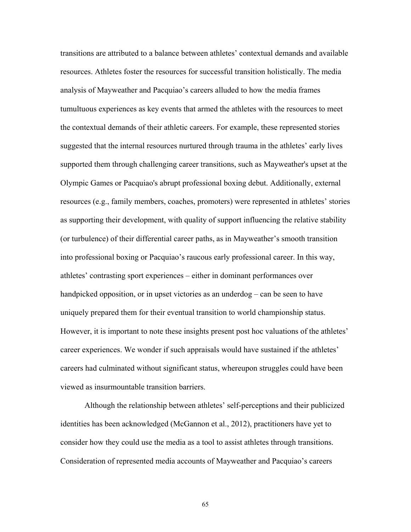transitions are attributed to a balance between athletes' contextual demands and available resources. Athletes foster the resources for successful transition holistically. The media analysis of Mayweather and Pacquiao's careers alluded to how the media frames tumultuous experiences as key events that armed the athletes with the resources to meet the contextual demands of their athletic careers. For example, these represented stories suggested that the internal resources nurtured through trauma in the athletes' early lives supported them through challenging career transitions, such as Mayweather's upset at the Olympic Games or Pacquiao's abrupt professional boxing debut. Additionally, external resources (e.g., family members, coaches, promoters) were represented in athletes' stories as supporting their development, with quality of support influencing the relative stability (or turbulence) of their differential career paths, as in Mayweather's smooth transition into professional boxing or Pacquiao's raucous early professional career. In this way, athletes' contrasting sport experiences – either in dominant performances over handpicked opposition, or in upset victories as an underdog – can be seen to have uniquely prepared them for their eventual transition to world championship status. However, it is important to note these insights present post hoc valuations of the athletes' career experiences. We wonder if such appraisals would have sustained if the athletes' careers had culminated without significant status, whereupon struggles could have been viewed as insurmountable transition barriers.

Although the relationship between athletes' self-perceptions and their publicized identities has been acknowledged (McGannon et al., 2012), practitioners have yet to consider how they could use the media as a tool to assist athletes through transitions. Consideration of represented media accounts of Mayweather and Pacquiao's careers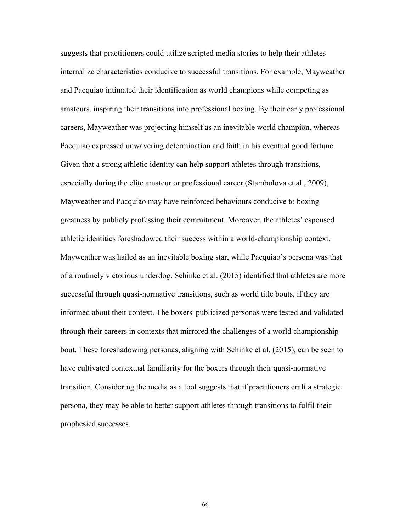suggests that practitioners could utilize scripted media stories to help their athletes internalize characteristics conducive to successful transitions. For example, Mayweather and Pacquiao intimated their identification as world champions while competing as amateurs, inspiring their transitions into professional boxing. By their early professional careers, Mayweather was projecting himself as an inevitable world champion, whereas Pacquiao expressed unwavering determination and faith in his eventual good fortune. Given that a strong athletic identity can help support athletes through transitions, especially during the elite amateur or professional career (Stambulova et al., 2009), Mayweather and Pacquiao may have reinforced behaviours conducive to boxing greatness by publicly professing their commitment. Moreover, the athletes' espoused athletic identities foreshadowed their success within a world-championship context. Mayweather was hailed as an inevitable boxing star, while Pacquiao's persona was that of a routinely victorious underdog. Schinke et al. (2015) identified that athletes are more successful through quasi-normative transitions, such as world title bouts, if they are informed about their context. The boxers' publicized personas were tested and validated through their careers in contexts that mirrored the challenges of a world championship bout. These foreshadowing personas, aligning with Schinke et al. (2015), can be seen to have cultivated contextual familiarity for the boxers through their quasi-normative transition. Considering the media as a tool suggests that if practitioners craft a strategic persona, they may be able to better support athletes through transitions to fulfil their prophesied successes.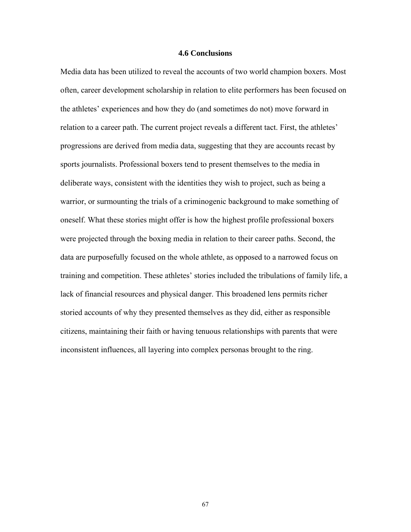#### **4.6 Conclusions**

Media data has been utilized to reveal the accounts of two world champion boxers. Most often, career development scholarship in relation to elite performers has been focused on the athletes' experiences and how they do (and sometimes do not) move forward in relation to a career path. The current project reveals a different tact. First, the athletes' progressions are derived from media data, suggesting that they are accounts recast by sports journalists. Professional boxers tend to present themselves to the media in deliberate ways, consistent with the identities they wish to project, such as being a warrior, or surmounting the trials of a criminogenic background to make something of oneself. What these stories might offer is how the highest profile professional boxers were projected through the boxing media in relation to their career paths. Second, the data are purposefully focused on the whole athlete, as opposed to a narrowed focus on training and competition. These athletes' stories included the tribulations of family life, a lack of financial resources and physical danger. This broadened lens permits richer storied accounts of why they presented themselves as they did, either as responsible citizens, maintaining their faith or having tenuous relationships with parents that were inconsistent influences, all layering into complex personas brought to the ring.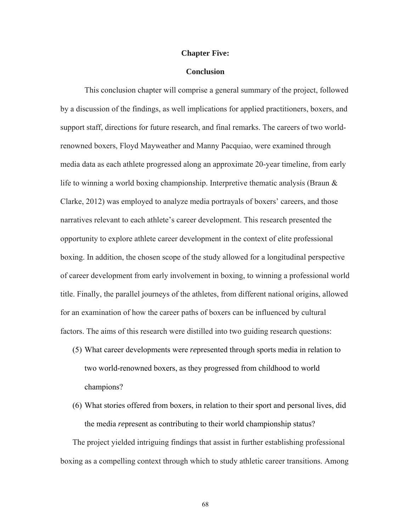#### **Chapter Five:**

# **Conclusion**

This conclusion chapter will comprise a general summary of the project, followed by a discussion of the findings, as well implications for applied practitioners, boxers, and support staff, directions for future research, and final remarks. The careers of two worldrenowned boxers, Floyd Mayweather and Manny Pacquiao, were examined through media data as each athlete progressed along an approximate 20-year timeline, from early life to winning a world boxing championship. Interpretive thematic analysis (Braun & Clarke, 2012) was employed to analyze media portrayals of boxers' careers, and those narratives relevant to each athlete's career development. This research presented the opportunity to explore athlete career development in the context of elite professional boxing. In addition, the chosen scope of the study allowed for a longitudinal perspective of career development from early involvement in boxing, to winning a professional world title. Finally, the parallel journeys of the athletes, from different national origins, allowed for an examination of how the career paths of boxers can be influenced by cultural factors. The aims of this research were distilled into two guiding research questions:

- (5) What career developments were *re*presented through sports media in relation to two world-renowned boxers, as they progressed from childhood to world champions?
- (6) What stories offered from boxers, in relation to their sport and personal lives, did the media *re*present as contributing to their world championship status?

The project yielded intriguing findings that assist in further establishing professional boxing as a compelling context through which to study athletic career transitions. Among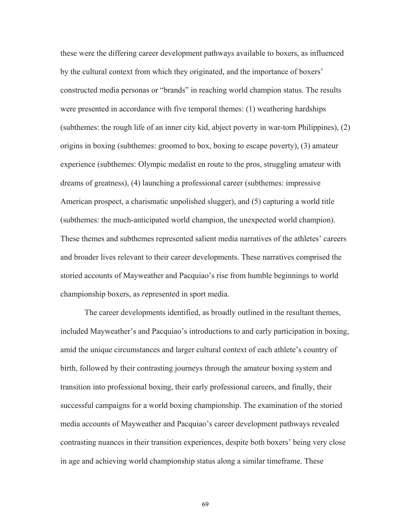these were the differing career development pathways available to boxers, as influenced by the cultural context from which they originated, and the importance of boxers' constructed media personas or "brands" in reaching world champion status. The results were presented in accordance with five temporal themes: (1) weathering hardships (subthemes: the rough life of an inner city kid, abject poverty in war-torn Philippines), (2) origins in boxing (subthemes: groomed to box, boxing to escape poverty), (3) amateur experience (subthemes: Olympic medalist en route to the pros, struggling amateur with dreams of greatness), (4) launching a professional career (subthemes: impressive American prospect, a charismatic unpolished slugger), and (5) capturing a world title (subthemes: the much-anticipated world champion, the unexpected world champion). These themes and subthemes represented salient media narratives of the athletes' careers and broader lives relevant to their career developments. These narratives comprised the storied accounts of Mayweather and Pacquiao's rise from humble beginnings to world championship boxers, as *re*presented in sport media.

The career developments identified, as broadly outlined in the resultant themes, included Mayweather's and Pacquiao's introductions to and early participation in boxing, amid the unique circumstances and larger cultural context of each athlete's country of birth, followed by their contrasting journeys through the amateur boxing system and transition into professional boxing, their early professional careers, and finally, their successful campaigns for a world boxing championship. The examination of the storied media accounts of Mayweather and Pacquiao's career development pathways revealed contrasting nuances in their transition experiences, despite both boxers' being very close in age and achieving world championship status along a similar timeframe. These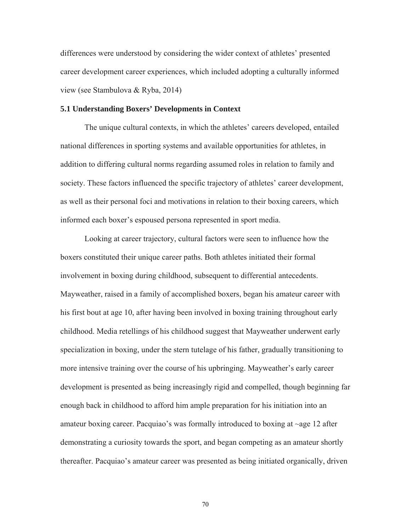differences were understood by considering the wider context of athletes' presented career development career experiences, which included adopting a culturally informed view (see Stambulova & Ryba, 2014)

# **5.1 Understanding Boxers' Developments in Context**

The unique cultural contexts, in which the athletes' careers developed, entailed national differences in sporting systems and available opportunities for athletes, in addition to differing cultural norms regarding assumed roles in relation to family and society. These factors influenced the specific trajectory of athletes' career development, as well as their personal foci and motivations in relation to their boxing careers, which informed each boxer's espoused persona represented in sport media.

Looking at career trajectory, cultural factors were seen to influence how the boxers constituted their unique career paths. Both athletes initiated their formal involvement in boxing during childhood, subsequent to differential antecedents. Mayweather, raised in a family of accomplished boxers, began his amateur career with his first bout at age 10, after having been involved in boxing training throughout early childhood. Media retellings of his childhood suggest that Mayweather underwent early specialization in boxing, under the stern tutelage of his father, gradually transitioning to more intensive training over the course of his upbringing. Mayweather's early career development is presented as being increasingly rigid and compelled, though beginning far enough back in childhood to afford him ample preparation for his initiation into an amateur boxing career. Pacquiao's was formally introduced to boxing at ~age 12 after demonstrating a curiosity towards the sport, and began competing as an amateur shortly thereafter. Pacquiao's amateur career was presented as being initiated organically, driven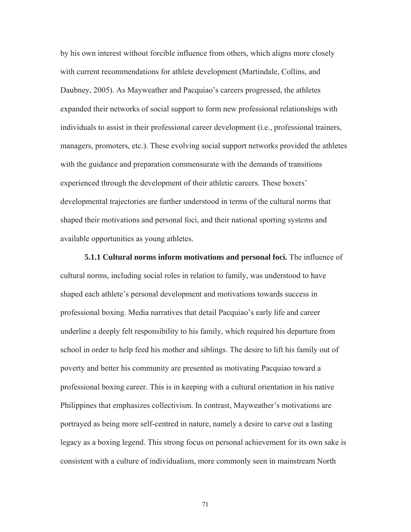by his own interest without forcible influence from others, which aligns more closely with current recommendations for athlete development (Martindale, Collins, and Daubney, 2005). As Mayweather and Pacquiao's careers progressed, the athletes expanded their networks of social support to form new professional relationships with individuals to assist in their professional career development (i.e., professional trainers, managers, promoters, etc.). These evolving social support networks provided the athletes with the guidance and preparation commensurate with the demands of transitions experienced through the development of their athletic careers. These boxers' developmental trajectories are further understood in terms of the cultural norms that shaped their motivations and personal foci, and their national sporting systems and available opportunities as young athletes.

**5.1.1 Cultural norms inform motivations and personal foci.** The influence of cultural norms, including social roles in relation to family, was understood to have shaped each athlete's personal development and motivations towards success in professional boxing. Media narratives that detail Pacquiao's early life and career underline a deeply felt responsibility to his family, which required his departure from school in order to help feed his mother and siblings. The desire to lift his family out of poverty and better his community are presented as motivating Pacquiao toward a professional boxing career. This is in keeping with a cultural orientation in his native Philippines that emphasizes collectivism. In contrast, Mayweather's motivations are portrayed as being more self-centred in nature, namely a desire to carve out a lasting legacy as a boxing legend. This strong focus on personal achievement for its own sake is consistent with a culture of individualism, more commonly seen in mainstream North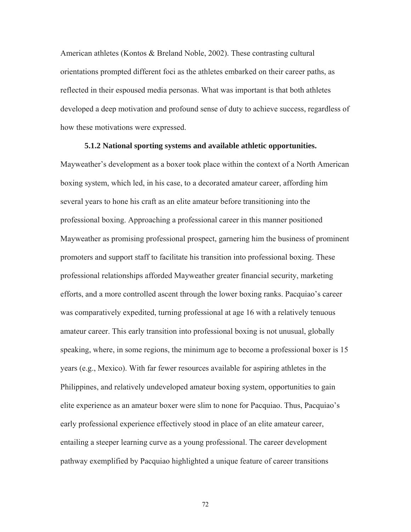American athletes (Kontos & Breland Noble, 2002). These contrasting cultural orientations prompted different foci as the athletes embarked on their career paths, as reflected in their espoused media personas. What was important is that both athletes developed a deep motivation and profound sense of duty to achieve success, regardless of how these motivations were expressed.

## **5.1.2 National sporting systems and available athletic opportunities.**

Mayweather's development as a boxer took place within the context of a North American boxing system, which led, in his case, to a decorated amateur career, affording him several years to hone his craft as an elite amateur before transitioning into the professional boxing. Approaching a professional career in this manner positioned Mayweather as promising professional prospect, garnering him the business of prominent promoters and support staff to facilitate his transition into professional boxing. These professional relationships afforded Mayweather greater financial security, marketing efforts, and a more controlled ascent through the lower boxing ranks. Pacquiao's career was comparatively expedited, turning professional at age 16 with a relatively tenuous amateur career. This early transition into professional boxing is not unusual, globally speaking, where, in some regions, the minimum age to become a professional boxer is 15 years (e.g., Mexico). With far fewer resources available for aspiring athletes in the Philippines, and relatively undeveloped amateur boxing system, opportunities to gain elite experience as an amateur boxer were slim to none for Pacquiao. Thus, Pacquiao's early professional experience effectively stood in place of an elite amateur career, entailing a steeper learning curve as a young professional. The career development pathway exemplified by Pacquiao highlighted a unique feature of career transitions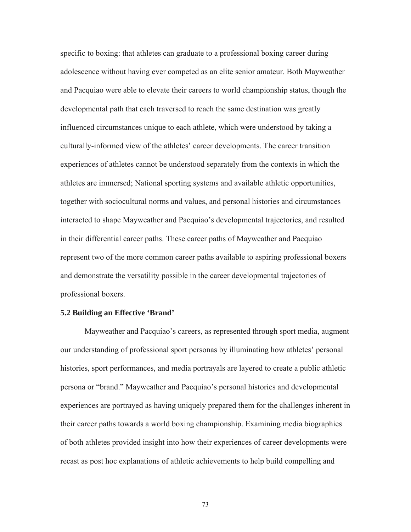specific to boxing: that athletes can graduate to a professional boxing career during adolescence without having ever competed as an elite senior amateur. Both Mayweather and Pacquiao were able to elevate their careers to world championship status, though the developmental path that each traversed to reach the same destination was greatly influenced circumstances unique to each athlete, which were understood by taking a culturally-informed view of the athletes' career developments. The career transition experiences of athletes cannot be understood separately from the contexts in which the athletes are immersed; National sporting systems and available athletic opportunities, together with sociocultural norms and values, and personal histories and circumstances interacted to shape Mayweather and Pacquiao's developmental trajectories, and resulted in their differential career paths. These career paths of Mayweather and Pacquiao represent two of the more common career paths available to aspiring professional boxers and demonstrate the versatility possible in the career developmental trajectories of professional boxers.

#### **5.2 Building an Effective 'Brand'**

Mayweather and Pacquiao's careers, as represented through sport media, augment our understanding of professional sport personas by illuminating how athletes' personal histories, sport performances, and media portrayals are layered to create a public athletic persona or "brand." Mayweather and Pacquiao's personal histories and developmental experiences are portrayed as having uniquely prepared them for the challenges inherent in their career paths towards a world boxing championship. Examining media biographies of both athletes provided insight into how their experiences of career developments were recast as post hoc explanations of athletic achievements to help build compelling and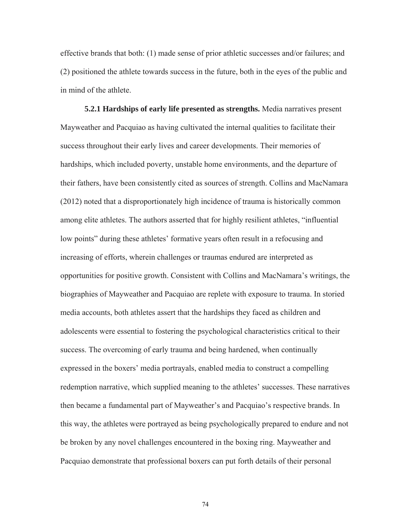effective brands that both: (1) made sense of prior athletic successes and/or failures; and (2) positioned the athlete towards success in the future, both in the eyes of the public and in mind of the athlete.

**5.2.1 Hardships of early life presented as strengths.** Media narratives present Mayweather and Pacquiao as having cultivated the internal qualities to facilitate their success throughout their early lives and career developments. Their memories of hardships, which included poverty, unstable home environments, and the departure of their fathers, have been consistently cited as sources of strength. Collins and MacNamara (2012) noted that a disproportionately high incidence of trauma is historically common among elite athletes. The authors asserted that for highly resilient athletes, "influential low points" during these athletes' formative years often result in a refocusing and increasing of efforts, wherein challenges or traumas endured are interpreted as opportunities for positive growth. Consistent with Collins and MacNamara's writings, the biographies of Mayweather and Pacquiao are replete with exposure to trauma. In storied media accounts, both athletes assert that the hardships they faced as children and adolescents were essential to fostering the psychological characteristics critical to their success. The overcoming of early trauma and being hardened, when continually expressed in the boxers' media portrayals, enabled media to construct a compelling redemption narrative, which supplied meaning to the athletes' successes. These narratives then became a fundamental part of Mayweather's and Pacquiao's respective brands. In this way, the athletes were portrayed as being psychologically prepared to endure and not be broken by any novel challenges encountered in the boxing ring. Mayweather and Pacquiao demonstrate that professional boxers can put forth details of their personal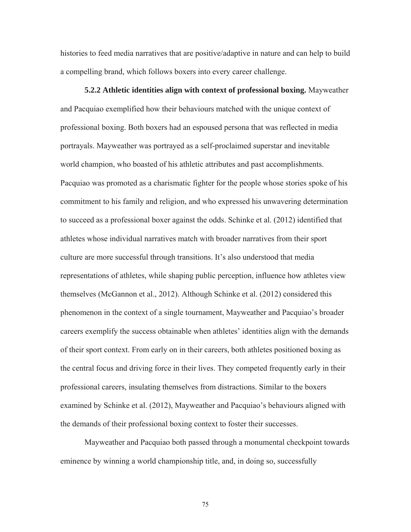histories to feed media narratives that are positive/adaptive in nature and can help to build a compelling brand, which follows boxers into every career challenge.

**5.2.2 Athletic identities align with context of professional boxing.** Mayweather and Pacquiao exemplified how their behaviours matched with the unique context of professional boxing. Both boxers had an espoused persona that was reflected in media portrayals. Mayweather was portrayed as a self-proclaimed superstar and inevitable world champion, who boasted of his athletic attributes and past accomplishments. Pacquiao was promoted as a charismatic fighter for the people whose stories spoke of his commitment to his family and religion, and who expressed his unwavering determination to succeed as a professional boxer against the odds. Schinke et al. (2012) identified that athletes whose individual narratives match with broader narratives from their sport culture are more successful through transitions. It's also understood that media representations of athletes, while shaping public perception, influence how athletes view themselves (McGannon et al., 2012). Although Schinke et al. (2012) considered this phenomenon in the context of a single tournament, Mayweather and Pacquiao's broader careers exemplify the success obtainable when athletes' identities align with the demands of their sport context. From early on in their careers, both athletes positioned boxing as the central focus and driving force in their lives. They competed frequently early in their professional careers, insulating themselves from distractions. Similar to the boxers examined by Schinke et al. (2012), Mayweather and Pacquiao's behaviours aligned with the demands of their professional boxing context to foster their successes.

Mayweather and Pacquiao both passed through a monumental checkpoint towards eminence by winning a world championship title, and, in doing so, successfully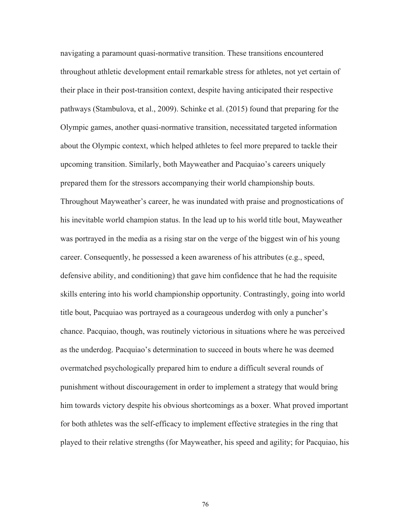navigating a paramount quasi-normative transition. These transitions encountered throughout athletic development entail remarkable stress for athletes, not yet certain of their place in their post-transition context, despite having anticipated their respective pathways (Stambulova, et al., 2009). Schinke et al. (2015) found that preparing for the Olympic games, another quasi-normative transition, necessitated targeted information about the Olympic context, which helped athletes to feel more prepared to tackle their upcoming transition. Similarly, both Mayweather and Pacquiao's careers uniquely prepared them for the stressors accompanying their world championship bouts. Throughout Mayweather's career, he was inundated with praise and prognostications of his inevitable world champion status. In the lead up to his world title bout, Mayweather was portrayed in the media as a rising star on the verge of the biggest win of his young career. Consequently, he possessed a keen awareness of his attributes (e.g., speed, defensive ability, and conditioning) that gave him confidence that he had the requisite skills entering into his world championship opportunity. Contrastingly, going into world title bout, Pacquiao was portrayed as a courageous underdog with only a puncher's chance. Pacquiao, though, was routinely victorious in situations where he was perceived as the underdog. Pacquiao's determination to succeed in bouts where he was deemed overmatched psychologically prepared him to endure a difficult several rounds of punishment without discouragement in order to implement a strategy that would bring him towards victory despite his obvious shortcomings as a boxer. What proved important for both athletes was the self-efficacy to implement effective strategies in the ring that played to their relative strengths (for Mayweather, his speed and agility; for Pacquiao, his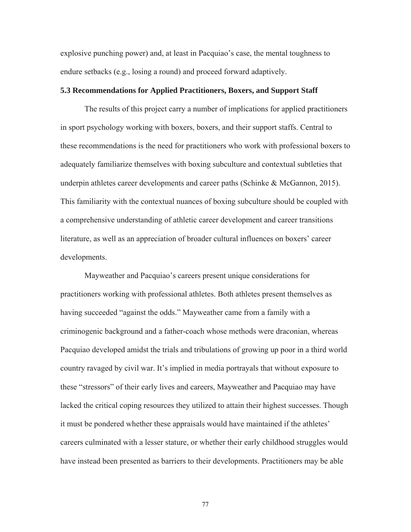explosive punching power) and, at least in Pacquiao's case, the mental toughness to endure setbacks (e.g., losing a round) and proceed forward adaptively.

## **5.3 Recommendations for Applied Practitioners, Boxers, and Support Staff**

The results of this project carry a number of implications for applied practitioners in sport psychology working with boxers, boxers, and their support staffs. Central to these recommendations is the need for practitioners who work with professional boxers to adequately familiarize themselves with boxing subculture and contextual subtleties that underpin athletes career developments and career paths (Schinke & McGannon, 2015). This familiarity with the contextual nuances of boxing subculture should be coupled with a comprehensive understanding of athletic career development and career transitions literature, as well as an appreciation of broader cultural influences on boxers' career developments.

Mayweather and Pacquiao's careers present unique considerations for practitioners working with professional athletes. Both athletes present themselves as having succeeded "against the odds." Mayweather came from a family with a criminogenic background and a father-coach whose methods were draconian, whereas Pacquiao developed amidst the trials and tribulations of growing up poor in a third world country ravaged by civil war. It's implied in media portrayals that without exposure to these "stressors" of their early lives and careers, Mayweather and Pacquiao may have lacked the critical coping resources they utilized to attain their highest successes. Though it must be pondered whether these appraisals would have maintained if the athletes' careers culminated with a lesser stature, or whether their early childhood struggles would have instead been presented as barriers to their developments. Practitioners may be able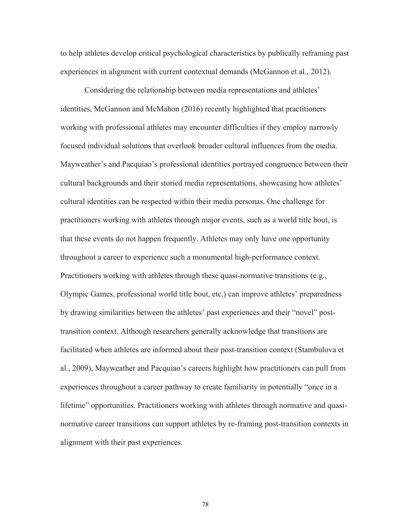to help athletes develop critical psychological characteristics by publically reframing past experiences in alignment with current contextual demands (McGannon et al., 2012).

Considering the relationship between media representations and athletes' identities, McGannon and McMahon (2016) recently highlighted that practitioners working with professional athletes may encounter difficulties if they employ narrowly focused individual solutions that overlook broader cultural influences from the media. Mayweather's and Pacquiao's professional identities portrayed congruence between their cultural backgrounds and their storied media *re*presentations, showcasing how athletes' cultural identities can be respected within their media personas. One challenge for practitioners working with athletes through major events, such as a world title bout, is that these events do not happen frequently. Athletes may only have one opportunity throughout a career to experience such a monumental high-performance context. Practitioners working with athletes through these quasi-normative transitions (e.g., Olympic Games, professional world title bout, etc.) can improve athletes' preparedness by drawing similarities between the athletes' past experiences and their "novel" posttransition context. Although researchers generally acknowledge that transitions are facilitated when athletes are informed about their post-transition context (Stambulova et al., 2009), Mayweather and Pacquiao's careers highlight how practitioners can pull from experiences throughout a career pathway to create familiarity in potentially "once in a lifetime" opportunities. Practitioners working with athletes through normative and quasinormative career transitions can support athletes by re-framing post-transition contexts in alignment with their past experiences.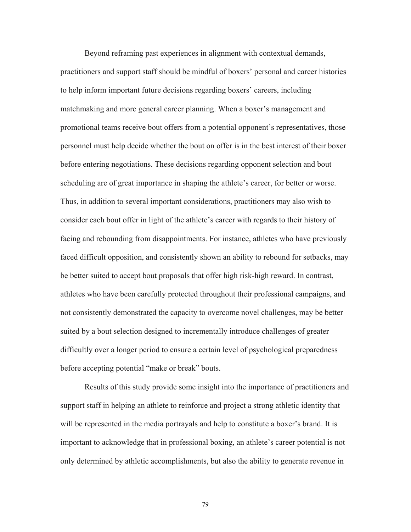Beyond reframing past experiences in alignment with contextual demands, practitioners and support staff should be mindful of boxers' personal and career histories to help inform important future decisions regarding boxers' careers, including matchmaking and more general career planning. When a boxer's management and promotional teams receive bout offers from a potential opponent's representatives, those personnel must help decide whether the bout on offer is in the best interest of their boxer before entering negotiations. These decisions regarding opponent selection and bout scheduling are of great importance in shaping the athlete's career, for better or worse. Thus, in addition to several important considerations, practitioners may also wish to consider each bout offer in light of the athlete's career with regards to their history of facing and rebounding from disappointments. For instance, athletes who have previously faced difficult opposition, and consistently shown an ability to rebound for setbacks, may be better suited to accept bout proposals that offer high risk-high reward. In contrast, athletes who have been carefully protected throughout their professional campaigns, and not consistently demonstrated the capacity to overcome novel challenges, may be better suited by a bout selection designed to incrementally introduce challenges of greater difficultly over a longer period to ensure a certain level of psychological preparedness before accepting potential "make or break" bouts.

Results of this study provide some insight into the importance of practitioners and support staff in helping an athlete to reinforce and project a strong athletic identity that will be represented in the media portrayals and help to constitute a boxer's brand. It is important to acknowledge that in professional boxing, an athlete's career potential is not only determined by athletic accomplishments, but also the ability to generate revenue in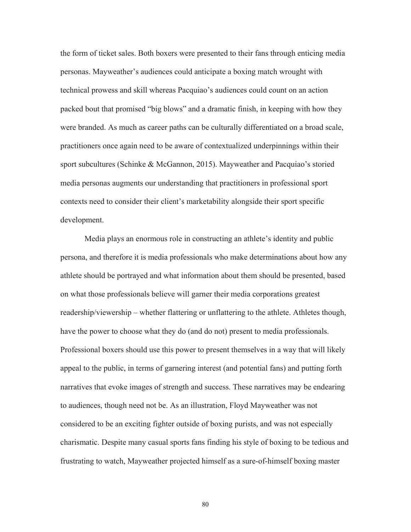the form of ticket sales. Both boxers were presented to their fans through enticing media personas. Mayweather's audiences could anticipate a boxing match wrought with technical prowess and skill whereas Pacquiao's audiences could count on an action packed bout that promised "big blows" and a dramatic finish, in keeping with how they were branded. As much as career paths can be culturally differentiated on a broad scale, practitioners once again need to be aware of contextualized underpinnings within their sport subcultures (Schinke & McGannon, 2015). Mayweather and Pacquiao's storied media personas augments our understanding that practitioners in professional sport contexts need to consider their client's marketability alongside their sport specific development.

Media plays an enormous role in constructing an athlete's identity and public persona, and therefore it is media professionals who make determinations about how any athlete should be portrayed and what information about them should be presented, based on what those professionals believe will garner their media corporations greatest readership/viewership – whether flattering or unflattering to the athlete. Athletes though, have the power to choose what they do (and do not) present to media professionals. Professional boxers should use this power to present themselves in a way that will likely appeal to the public, in terms of garnering interest (and potential fans) and putting forth narratives that evoke images of strength and success. These narratives may be endearing to audiences, though need not be. As an illustration, Floyd Mayweather was not considered to be an exciting fighter outside of boxing purists, and was not especially charismatic. Despite many casual sports fans finding his style of boxing to be tedious and frustrating to watch, Mayweather projected himself as a sure-of-himself boxing master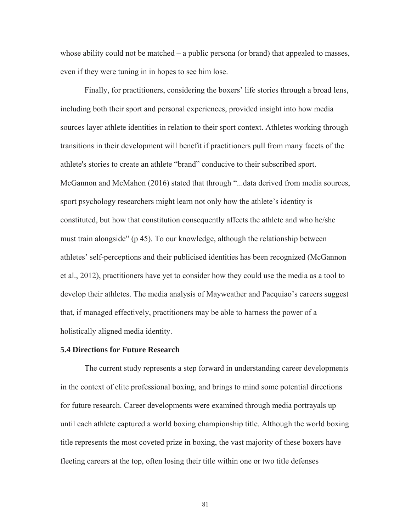whose ability could not be matched – a public persona (or brand) that appealed to masses, even if they were tuning in in hopes to see him lose.

Finally, for practitioners, considering the boxers' life stories through a broad lens, including both their sport and personal experiences, provided insight into how media sources layer athlete identities in relation to their sport context. Athletes working through transitions in their development will benefit if practitioners pull from many facets of the athlete's stories to create an athlete "brand" conducive to their subscribed sport. McGannon and McMahon (2016) stated that through "...data derived from media sources, sport psychology researchers might learn not only how the athlete's identity is constituted, but how that constitution consequently affects the athlete and who he/she must train alongside" (p 45). To our knowledge, although the relationship between athletes' self-perceptions and their publicised identities has been recognized (McGannon et al., 2012), practitioners have yet to consider how they could use the media as a tool to develop their athletes. The media analysis of Mayweather and Pacquiao's careers suggest that, if managed effectively, practitioners may be able to harness the power of a holistically aligned media identity.

## **5.4 Directions for Future Research**

The current study represents a step forward in understanding career developments in the context of elite professional boxing, and brings to mind some potential directions for future research. Career developments were examined through media portrayals up until each athlete captured a world boxing championship title. Although the world boxing title represents the most coveted prize in boxing, the vast majority of these boxers have fleeting careers at the top, often losing their title within one or two title defenses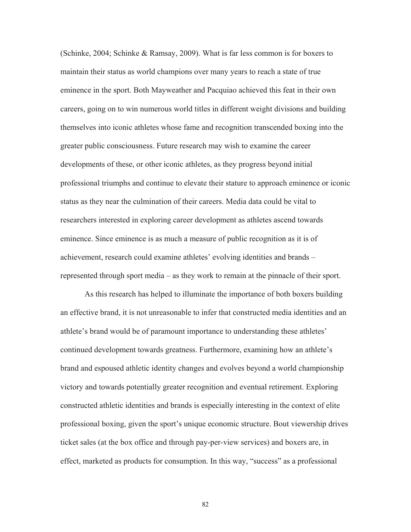(Schinke, 2004; Schinke & Ramsay, 2009). What is far less common is for boxers to maintain their status as world champions over many years to reach a state of true eminence in the sport. Both Mayweather and Pacquiao achieved this feat in their own careers, going on to win numerous world titles in different weight divisions and building themselves into iconic athletes whose fame and recognition transcended boxing into the greater public consciousness. Future research may wish to examine the career developments of these, or other iconic athletes, as they progress beyond initial professional triumphs and continue to elevate their stature to approach eminence or iconic status as they near the culmination of their careers. Media data could be vital to researchers interested in exploring career development as athletes ascend towards eminence. Since eminence is as much a measure of public recognition as it is of achievement, research could examine athletes' evolving identities and brands – represented through sport media – as they work to remain at the pinnacle of their sport.

As this research has helped to illuminate the importance of both boxers building an effective brand, it is not unreasonable to infer that constructed media identities and an athlete's brand would be of paramount importance to understanding these athletes' continued development towards greatness. Furthermore, examining how an athlete's brand and espoused athletic identity changes and evolves beyond a world championship victory and towards potentially greater recognition and eventual retirement. Exploring constructed athletic identities and brands is especially interesting in the context of elite professional boxing, given the sport's unique economic structure. Bout viewership drives ticket sales (at the box office and through pay-per-view services) and boxers are, in effect, marketed as products for consumption. In this way, "success" as a professional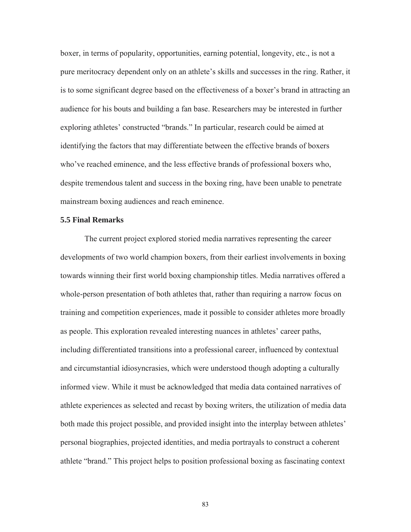boxer, in terms of popularity, opportunities, earning potential, longevity, etc., is not a pure meritocracy dependent only on an athlete's skills and successes in the ring. Rather, it is to some significant degree based on the effectiveness of a boxer's brand in attracting an audience for his bouts and building a fan base. Researchers may be interested in further exploring athletes' constructed "brands." In particular, research could be aimed at identifying the factors that may differentiate between the effective brands of boxers who've reached eminence, and the less effective brands of professional boxers who, despite tremendous talent and success in the boxing ring, have been unable to penetrate mainstream boxing audiences and reach eminence.

# **5.5 Final Remarks**

The current project explored storied media narratives representing the career developments of two world champion boxers, from their earliest involvements in boxing towards winning their first world boxing championship titles. Media narratives offered a whole-person presentation of both athletes that, rather than requiring a narrow focus on training and competition experiences, made it possible to consider athletes more broadly as people. This exploration revealed interesting nuances in athletes' career paths, including differentiated transitions into a professional career, influenced by contextual and circumstantial idiosyncrasies, which were understood though adopting a culturally informed view. While it must be acknowledged that media data contained narratives of athlete experiences as selected and recast by boxing writers, the utilization of media data both made this project possible, and provided insight into the interplay between athletes' personal biographies, projected identities, and media portrayals to construct a coherent athlete "brand." This project helps to position professional boxing as fascinating context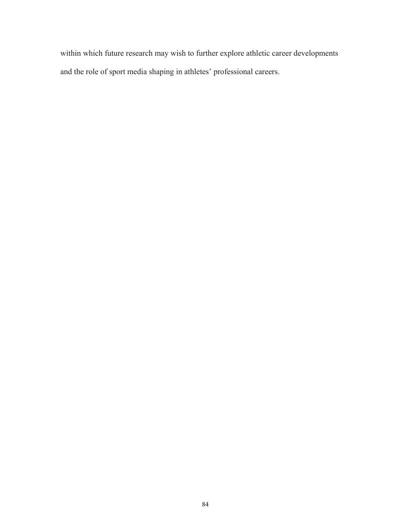within which future research may wish to further explore athletic career developments and the role of sport media shaping in athletes' professional careers.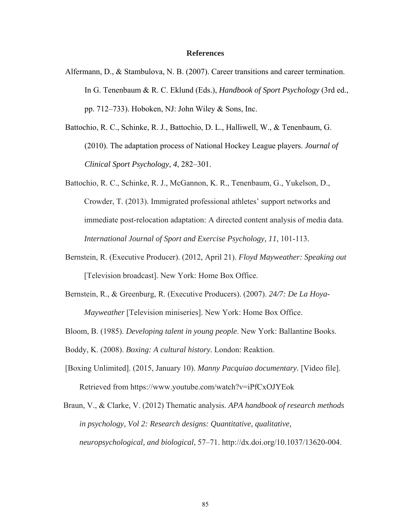#### **References**

- Alfermann, D., & Stambulova, N. B. (2007). Career transitions and career termination. In G. Tenenbaum & R. C. Eklund (Eds.), *Handbook of Sport Psychology* (3rd ed., pp. 712–733). Hoboken, NJ: John Wiley & Sons, Inc.
- Battochio, R. C., Schinke, R. J., Battochio, D. L., Halliwell, W., & Tenenbaum, G. (2010). The adaptation process of National Hockey League players. *Journal of Clinical Sport Psychology*, *4*, 282–301.
- Battochio, R. C., Schinke, R. J., McGannon, K. R., Tenenbaum, G., Yukelson, D., Crowder, T. (2013). Immigrated professional athletes' support networks and immediate post-relocation adaptation: A directed content analysis of media data. *International Journal of Sport and Exercise Psychology, 11*, 101-113*.*
- Bernstein, R. (Executive Producer). (2012, April 21). *Floyd Mayweather: Speaking out* [Television broadcast]. New York: Home Box Office.
- Bernstein, R., & Greenburg, R. (Executive Producers). (2007). *24/7: De La Hoya-Mayweather* [Television miniseries]. New York: Home Box Office.
- Bloom, B. (1985). *Developing talent in young people*. New York: Ballantine Books.
- Boddy, K. (2008). *Boxing: A cultural history.* London: Reaktion.
- [Boxing Unlimited]. (2015, January 10). *Manny Pacquiao documentary.* [Video file]. Retrieved from https://www.youtube.com/watch?v=iPfCxOJYEok
- Braun, V., & Clarke, V. (2012) Thematic analysis. *APA handbook of research methods in psychology, Vol 2: Research designs: Quantitative, qualitative, neuropsychological, and biological*, 57–71. http://dx.doi.org/10.1037/13620-004.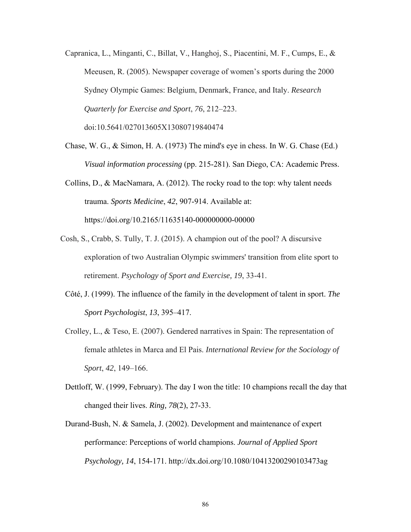- Capranica, L., Minganti, C., Billat, V., Hanghoj, S., Piacentini, M. F., Cumps, E., & Meeusen, R. (2005). Newspaper coverage of women's sports during the 2000 Sydney Olympic Games: Belgium, Denmark, France, and Italy. *Research Quarterly for Exercise and Sport*, *76*, 212–223. doi:10.5641/027013605X13080719840474
- Chase, W. G., & Simon, H. A. (1973) The mind's eye in chess. In W. G. Chase (Ed.) *Visual information processing* (pp. 215-281). San Diego, CA: Academic Press.
- Collins, D., & MacNamara, A. (2012). The rocky road to the top: why talent needs trauma. *Sports Medicine*, *42*, 907-914. Available at: https://doi.org/10.2165/11635140-000000000-00000
- Cosh, S., Crabb, S. Tully, T. J. (2015). A champion out of the pool? A discursive exploration of two Australian Olympic swimmers' transition from elite sport to retirement. *Psychology of Sport and Exercise, 19*, 33-41.
- Côté, J. (1999). The influence of the family in the development of talent in sport. *The Sport Psychologist*, *13*, 395–417.
- Crolley, L., & Teso, E. (2007). Gendered narratives in Spain: The representation of female athletes in Marca and El Pais. *International Review for the Sociology of Sport*, *42*, 149–166.
- Dettloff, W. (1999, February). The day I won the title: 10 champions recall the day that changed their lives. *Ring, 78*(2), 27-33.
- Durand-Bush, N. & Samela, J. (2002). Development and maintenance of expert performance: Perceptions of world champions. *Journal of Applied Sport Psychology, 14*, 154-171. http://dx.doi.org/10.1080/10413200290103473ag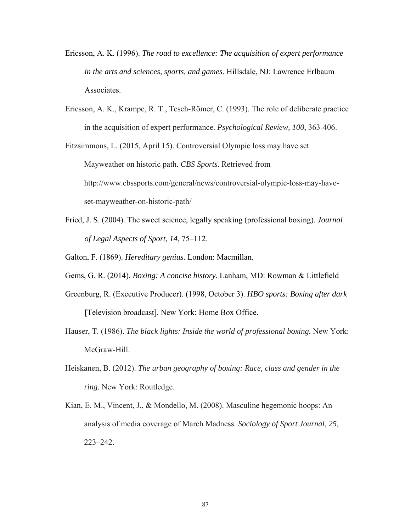- Ericsson, A. K. (1996). *The road to excellence: The acquisition of expert performance in the arts and sciences, sports, and games*. Hillsdale, NJ: Lawrence Erlbaum Associates.
- Ericsson, A. K., Krampe, R. T., Tesch-Römer, C. (1993). The role of deliberate practice in the acquisition of expert performance. *Psychological Review, 100*, 363-406.

Fitzsimmons, L. (2015, April 15). Controversial Olympic loss may have set Mayweather on historic path. *CBS Sports*. Retrieved from http://www.cbssports.com/general/news/controversial-olympic-loss-may-haveset-mayweather-on-historic-path/

Fried, J. S. (2004). The sweet science, legally speaking (professional boxing). *Journal of Legal Aspects of Sport*, *14*, 75–112.

Galton, F. (1869). *Hereditary genius*. London: Macmillan.

- Gems, G. R. (2014). *Boxing: A concise history*. Lanham, MD: Rowman & Littlefield
- Greenburg, R. (Executive Producer). (1998, October 3). *HBO sports: Boxing after dark* [Television broadcast]. New York: Home Box Office.
- Hauser, T. (1986). *The black lights: Inside the world of professional boxing.* New York: McGraw-Hill.
- Heiskanen, B. (2012). *The urban geography of boxing: Race, class and gender in the ring.* New York: Routledge.
- Kian, E. M., Vincent, J., & Mondello, M. (2008). Masculine hegemonic hoops: An analysis of media coverage of March Madness. *Sociology of Sport Journal*, *25*, 223–242.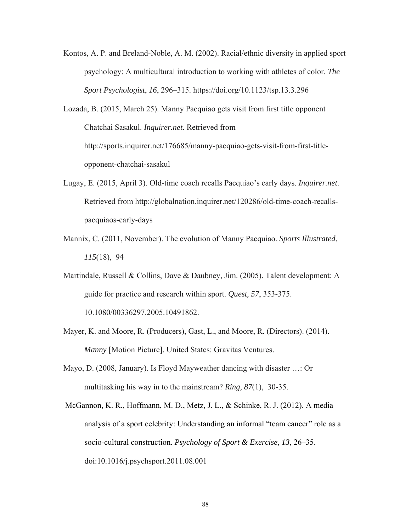- Kontos, A. P. and Breland-Noble, A. M. (2002). Racial/ethnic diversity in applied sport psychology: A multicultural introduction to working with athletes of color. *The Sport Psychologist*, *16*, 296–315. https://doi.org/10.1123/tsp.13.3.296
- Lozada, B. (2015, March 25). Manny Pacquiao gets visit from first title opponent Chatchai Sasakul. *Inquirer.net*. Retrieved from http://sports.inquirer.net/176685/manny-pacquiao-gets-visit-from-first-titleopponent-chatchai-sasakul
- Lugay, E. (2015, April 3). Old-time coach recalls Pacquiao's early days. *Inquirer.net*. Retrieved from http://globalnation.inquirer.net/120286/old-time-coach-recallspacquiaos-early-days
- Mannix, C. (2011, November). The evolution of Manny Pacquiao. *Sports Illustrated*, *115*(18), 94
- Martindale, Russell & Collins, Dave & Daubney, Jim. (2005). Talent development: A guide for practice and research within sport. *Quest, 57*, 353-375. 10.1080/00336297.2005.10491862.
- Mayer, K. and Moore, R. (Producers), Gast, L., and Moore, R. (Directors). (2014). *Manny* [Motion Picture]. United States: Gravitas Ventures.
- Mayo, D. (2008, January). Is Floyd Mayweather dancing with disaster …: Or multitasking his way in to the mainstream? *Ring, 87*(1), 30-35.
- McGannon, K. R., Hoffmann, M. D., Metz, J. L., & Schinke, R. J. (2012). A media analysis of a sport celebrity: Understanding an informal "team cancer" role as a socio-cultural construction. *Psychology of Sport & Exercise*, *13*, 26–35. doi:10.1016/j.psychsport.2011.08.001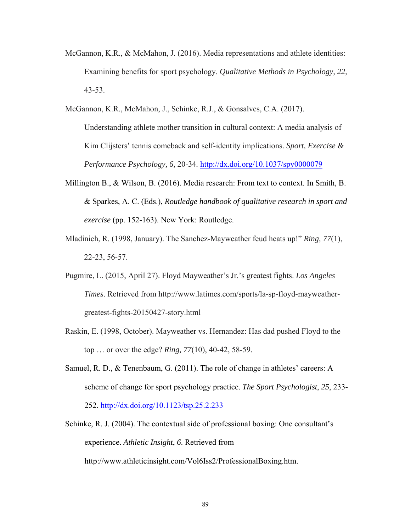- McGannon, K.R., & McMahon, J. (2016). Media representations and athlete identities: Examining benefits for sport psychology. *Qualitative Methods in Psychology, 22*, 43-53.
- McGannon, K.R., McMahon, J., Schinke, R.J., & Gonsalves, C.A. (2017). Understanding athlete mother transition in cultural context: A media analysis of Kim Clijsters' tennis comeback and self-identity implications. *Sport, Exercise & Performance Psychology, 6,* 20-34*.* http://dx.doi.org/10.1037/spy0000079
- Millington B., & Wilson, B. (2016). Media research: From text to context. In Smith, B. & Sparkes, A. C. (Eds.), *Routledge handbook of qualitative research in sport and exercise* (pp. 152-163). New York: Routledge.
- Mladinich, R. (1998, January). The Sanchez-Mayweather feud heats up!" *Ring, 77*(1), 22-23, 56-57.
- Pugmire, L. (2015, April 27). Floyd Mayweather's Jr.'s greatest fights. *Los Angeles Times*. Retrieved from http://www.latimes.com/sports/la-sp-floyd-mayweathergreatest-fights-20150427-story.html
- Raskin, E. (1998, October). Mayweather vs. Hernandez: Has dad pushed Floyd to the top … or over the edge? *Ring, 77*(10), 40-42, 58-59.
- Samuel, R. D., & Tenenbaum, G. (2011). The role of change in athletes' careers: A scheme of change for sport psychology practice. *The Sport Psychologist*, *25*, 233- 252. http://dx.doi.org/10.1123/tsp.25.2.233
- Schinke, R. J. (2004). The contextual side of professional boxing: One consultant's experience. *Athletic Insight*, *6*. Retrieved from

http://www.athleticinsight.com/Vol6Iss2/ProfessionalBoxing.htm.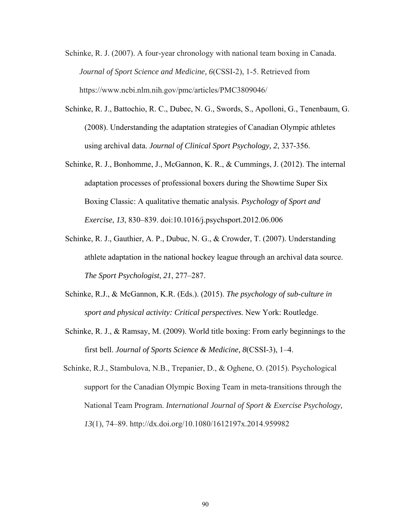- Schinke, R. J. (2007). A four-year chronology with national team boxing in Canada. *Journal of Sport Science and Medicine, 6*(CSSI-2), 1-5. Retrieved from https://www.ncbi.nlm.nih.gov/pmc/articles/PMC3809046/
- Schinke, R. J., Battochio, R. C., Dubec, N. G., Swords, S., Apolloni, G., Tenenbaum, G. (2008). Understanding the adaptation strategies of Canadian Olympic athletes using archival data. *Journal of Clinical Sport Psychology, 2*, 337-356.
- Schinke, R. J., Bonhomme, J., McGannon, K. R., & Cummings, J. (2012). The internal adaptation processes of professional boxers during the Showtime Super Six Boxing Classic: A qualitative thematic analysis. *Psychology of Sport and Exercise*, *13*, 830–839. doi:10.1016/j.psychsport.2012.06.006
- Schinke, R. J., Gauthier, A. P., Dubuc, N. G., & Crowder, T. (2007). Understanding athlete adaptation in the national hockey league through an archival data source. *The Sport Psychologist*, *21*, 277–287.
- Schinke, R.J., & McGannon, K.R. (Eds.). (2015). *The psychology of sub-culture in sport and physical activity: Critical perspectives.* New York: Routledge.
- Schinke, R. J., & Ramsay, M. (2009). World title boxing: From early beginnings to the first bell. *Journal of Sports Science & Medicine, 8*(CSSI-3), 1–4.
- Schinke, R.J., Stambulova, N.B., Trepanier, D., & Oghene, O. (2015). Psychological support for the Canadian Olympic Boxing Team in meta-transitions through the National Team Program. *International Journal of Sport & Exercise Psychology, 13*(1), 74–89. http://dx.doi.org/10.1080/1612197x.2014.959982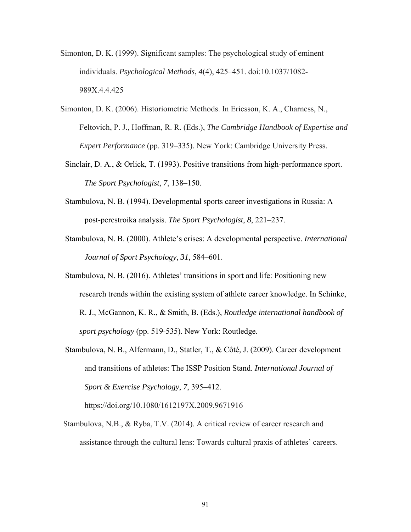- Simonton, D. K. (1999). Significant samples: The psychological study of eminent individuals. *Psychological Methods*, *4*(4), 425–451. doi:10.1037/1082- 989X.4.4.425
- Simonton, D. K. (2006). Historiometric Methods. In Ericsson, K. A., Charness, N., Feltovich, P. J., Hoffman, R. R. (Eds.), *The Cambridge Handbook of Expertise and Expert Performance* (pp. 319–335). New York: Cambridge University Press.
	- Sinclair, D. A., & Orlick, T. (1993). Positive transitions from high-performance sport. *The Sport Psychologist*, *7*, 138–150.
	- Stambulova, N. B. (1994). Developmental sports career investigations in Russia: A post-perestroika analysis. *The Sport Psychologist*, *8*, 221–237.
	- Stambulova, N. B. (2000). Athlete's crises: A developmental perspective. *International Journal of Sport Psychology*, *31*, 584–601.
- Stambulova, N. B. (2016). Athletes' transitions in sport and life: Positioning new research trends within the existing system of athlete career knowledge. In Schinke, R. J., McGannon, K. R., & Smith, B. (Eds.), *Routledge international handbook of sport psychology* (pp. 519-535). New York: Routledge.
- Stambulova, N. B., Alfermann, D., Statler, T., & Côté, J. (2009). Career development and transitions of athletes: The ISSP Position Stand. *International Journal of Sport & Exercise Psychology*, *7*, 395–412.

https://doi.org/10.1080/1612197X.2009.9671916

Stambulova, N.B., & Ryba, T.V. (2014). A critical review of career research and assistance through the cultural lens: Towards cultural praxis of athletes' careers.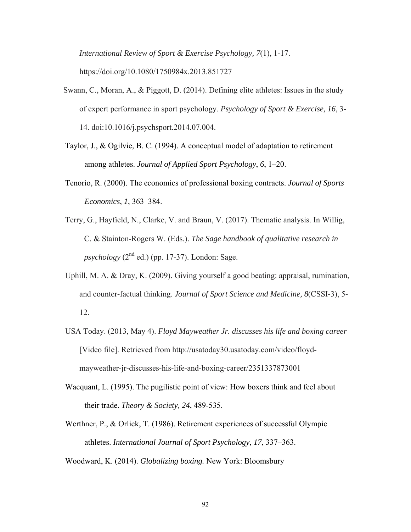*International Review of Sport & Exercise Psychology, 7*(1), 1-17. https://doi.org/10.1080/1750984x.2013.851727

- Swann, C., Moran, A., & Piggott, D. (2014). Defining elite athletes: Issues in the study of expert performance in sport psychology. *Psychology of Sport & Exercise, 16*, 3- 14. doi:10.1016/j.psychsport.2014.07.004.
- Taylor, J., & Ogilvie, B. C. (1994). A conceptual model of adaptation to retirement among athletes. *Journal of Applied Sport Psychology*, *6*, 1–20.
- Tenorio, R. (2000). The economics of professional boxing contracts. *Journal of Sports Economics*, *1*, 363–384.
- Terry, G., Hayfield, N., Clarke, V. and Braun, V. (2017). Thematic analysis. In Willig, C. & Stainton-Rogers W. (Eds.). *The Sage handbook of qualitative research in*   $p$ *sychology* ( $2<sup>nd</sup>$  ed.) (pp. 17-37). London: Sage.
- Uphill, M. A. & Dray, K. (2009). Giving yourself a good beating: appraisal, rumination, and counter-factual thinking. *Journal of Sport Science and Medicine, 8*(CSSI-3), 5- 12.
- USA Today. (2013, May 4). *Floyd Mayweather Jr. discusses his life and boxing career* [Video file]. Retrieved from http://usatoday30.usatoday.com/video/floydmayweather-jr-discusses-his-life-and-boxing-career/2351337873001
- Wacquant, L. (1995). The pugilistic point of view: How boxers think and feel about their trade. *Theory & Society, 24*, 489-535.
- Werthner, P., & Orlick, T. (1986). Retirement experiences of successful Olympic athletes. *International Journal of Sport Psychology*, *17*, 337–363.

Woodward, K. (2014). *Globalizing boxing.* New York: Bloomsbury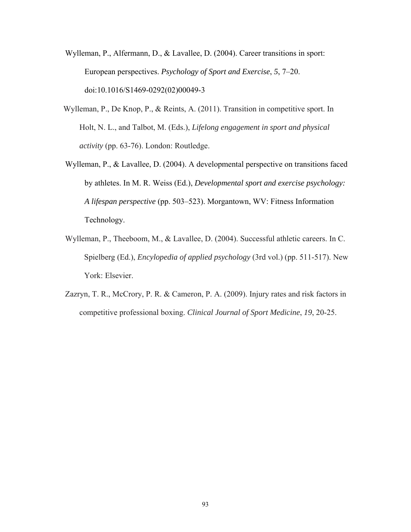- Wylleman, P., Alfermann, D., & Lavallee, D. (2004). Career transitions in sport: European perspectives. *Psychology of Sport and Exercise*, *5*, 7–20. doi:10.1016/S1469-0292(02)00049-3
- Wylleman, P., De Knop, P., & Reints, A. (2011). Transition in competitive sport. In Holt, N. L., and Talbot, M. (Eds.), *Lifelong engagement in sport and physical activity* (pp. 63-76). London: Routledge.
- Wylleman, P., & Lavallee, D. (2004). A developmental perspective on transitions faced by athletes. In M. R. Weiss (Ed.), *Developmental sport and exercise psychology: A lifespan perspective* (pp. 503–523). Morgantown, WV: Fitness Information Technology.
- Wylleman, P., Theeboom, M., & Lavallee, D. (2004). Successful athletic careers. In C. Spielberg (Ed.), *Encylopedia of applied psychology* (3rd vol.) (pp. 511-517). New York: Elsevier.
- Zazryn, T. R., McCrory, P. R. & Cameron, P. A. (2009). Injury rates and risk factors in competitive professional boxing. *Clinical Journal of Sport Medicine*, *19*, 20-25.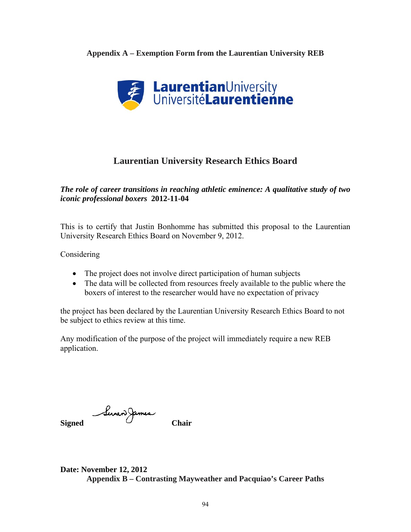**Appendix A – Exemption Form from the Laurentian University REB** 



# **Laurentian University Research Ethics Board**

*The role of career transitions in reaching athletic eminence: A qualitative study of two iconic professional boxers* **2012-11-04** 

This is to certify that Justin Bonhomme has submitted this proposal to the Laurentian University Research Ethics Board on November 9, 2012.

Considering

- The project does not involve direct participation of human subjects
- The data will be collected from resources freely available to the public where the boxers of interest to the researcher would have no expectation of privacy

the project has been declared by the Laurentian University Research Ethics Board to not be subject to ethics review at this time.

Any modification of the purpose of the project will immediately require a new REB application.

**Signed Chair**

**Date: November 12, 2012 Appendix B – Contrasting Mayweather and Pacquiao's Career Paths**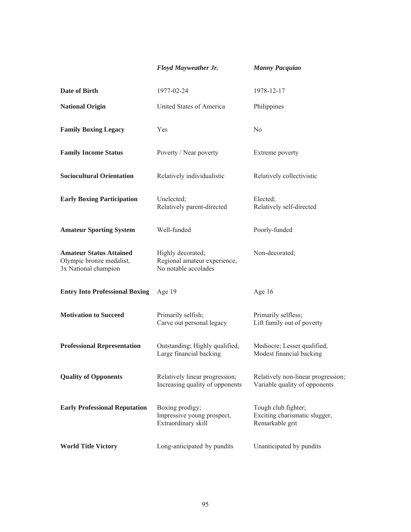|                                                                                    | <b>Floyd Mayweather Jr.</b>                                               | <b>Manny Pacquiao</b>                                                   |
|------------------------------------------------------------------------------------|---------------------------------------------------------------------------|-------------------------------------------------------------------------|
| Date of Birth                                                                      | 1977-02-24                                                                | 1978-12-17                                                              |
| <b>National Origin</b>                                                             | United States of America                                                  | Philippines                                                             |
| <b>Family Boxing Legacy</b>                                                        | Yes                                                                       | N <sub>0</sub>                                                          |
| <b>Family Income Status</b>                                                        | Poverty / Near poverty                                                    | Extreme poverty                                                         |
| <b>Sociocultural Orientation</b>                                                   | Relatively individualistic                                                | Relatively collectivistic                                               |
| <b>Early Boxing Participation</b>                                                  | Unelected;<br>Relatively parent-directed                                  | Elected;<br>Relatively self-directed                                    |
| <b>Amateur Sporting System</b>                                                     | Well-funded                                                               | Poorly-funded                                                           |
| <b>Amateur Status Attained</b><br>Olympic bronze medalist,<br>3x National champion | Highly decorated;<br>Regional amateur experience,<br>No notable accolades | Non-decorated;                                                          |
| <b>Entry Into Professional Boxing</b>                                              | Age $19$                                                                  | Age 16                                                                  |
| <b>Motivation to Succeed</b>                                                       | Primarily selfish;<br>Carve out personal legacy                           | Primarily selfless;<br>Lift family out of poverty                       |
| <b>Professional Representation</b>                                                 | Outstanding; Highly qualified,<br>Large financial backing                 | Mediocre; Lesser qualified,<br>Modest financial backing                 |
| <b>Quality of Opponents</b>                                                        | Relatively linear progression;<br>Increasing quality of opponents         | Relatively non-linear progression;<br>Variable quality of opponents     |
| <b>Early Professional Reputation</b>                                               | Boxing prodigy;<br>Impressive young prospect,<br>Extraordinary skill      | Tough club fighter;<br>Exciting charismatic slugger,<br>Remarkable grit |
| <b>World Title Victory</b>                                                         | Long-anticipated by pundits                                               | Unanticipated by pundits                                                |